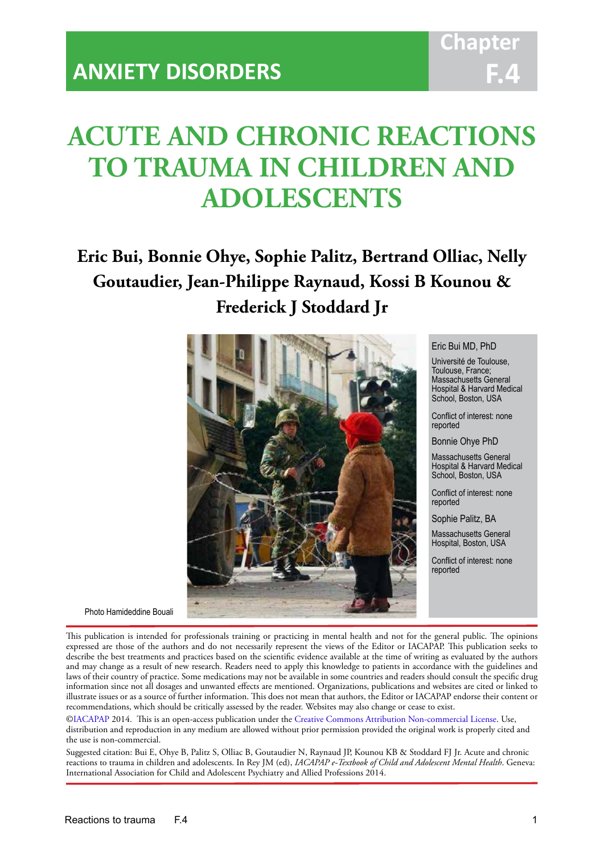# **ACUTE AND CHRONIC REACTIONS TO TRAUMA IN CHILDREN AND ADOLESCENTS**

IACAPAP Textbook of Child and Adolescent Mental Health

# **Eric Bui, Bonnie Ohye, Sophie Palitz, Bertrand Olliac, Nelly Goutaudier, Jean-Philippe Raynaud, Kossi B Kounou & Frederick J Stoddard Jr**



#### Eric Bui MD, PhD

Université de Toulouse, Toulouse, France; Massachusetts General Hospital & Harvard Medical School, Boston, USA

Conflict of interest: none reported

Bonnie Ohye PhD

Massachusetts General Hospital & Harvard Medical School, Boston, USA

Conflict of interest: none reported

Sophie Palitz, BA

Massachusetts General Hospital, Boston, USA

Conflict of interest: none reported

Photo Hamideddine Bouali

This publication is intended for professionals training or practicing in mental health and not for the general public. The opinions expressed are those of the authors and do not necessarily represent the views of the Editor or IACAPAP. This publication seeks to describe the best treatments and practices based on the scientific evidence available at the time of writing as evaluated by the authors and may change as a result of new research. Readers need to apply this knowledge to patients in accordance with the guidelines and laws of their country of practice. Some medications may not be available in some countries and readers should consult the specific drug information since not all dosages and unwanted effects are mentioned. Organizations, publications and websites are cited or linked to illustrate issues or as a source of further information. This does not mean that authors, the Editor or IACAPAP endorse their content or recommendations, which should be critically assessed by the reader. Websites may also change or cease to exist.

[©IACAPAP](http://iacapap.org/) 2014. This is an open-access publication under the [Creative Commons Attribution Non-commercial License](http://creativecommons.org/licenses/by-nc/2.0/). Use, distribution and reproduction in any medium are allowed without prior permission provided the original work is properly cited and the use is non-commercial.

Suggested citation: Bui E, Ohye B, Palitz S, Olliac B, Goutaudier N, Raynaud JP, Kounou KB & Stoddard FJ Jr. Acute and chronic reactions to trauma in children and adolescents. In Rey JM (ed), *IACAPAP e-Textbook of Child and Adolescent Mental Health*. Geneva: International Association for Child and Adolescent Psychiatry and Allied Professions 2014.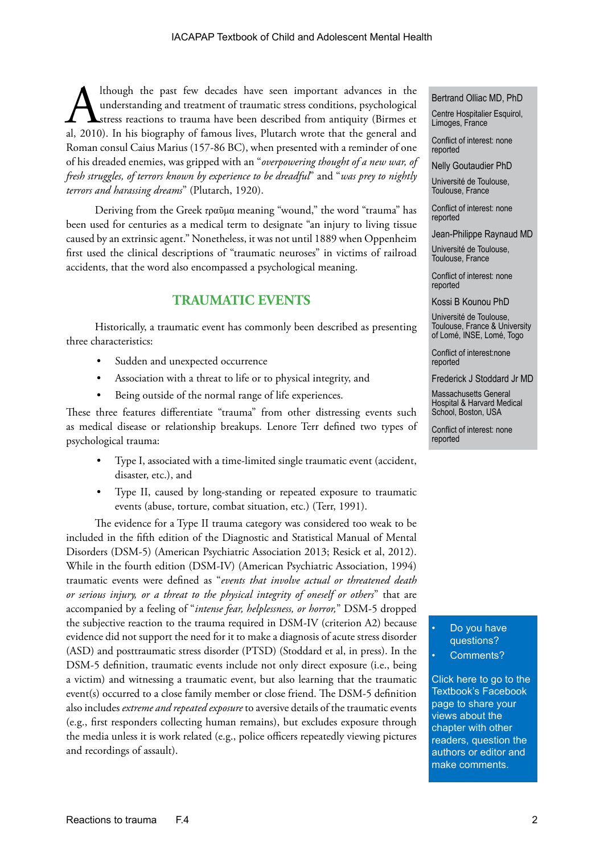Although the past few decades have seen important advances in the understanding and treatment of traumatic stress conditions, psychological stress reactions to trauma have been described from antiquity (Birmes et al, 2010) understanding and treatment of traumatic stress conditions, psychological stress reactions to trauma have been described from antiquity (Birmes et Roman consul Caius Marius (157-86 BC), when presented with a reminder of one of his dreaded enemies, was gripped with an "*overpowering thought of a new war, of fresh struggles, of terrors known by experience to be dreadful*" and "*was prey to nightly terrors and harassing dreams*" (Plutarch, 1920).

Deriving from the Greek *τ*ραῦμα meaning "wound," the word "trauma" has been used for centuries as a medical term to designate "an injury to living tissue caused by an extrinsic agent." Nonetheless, it was not until 1889 when Oppenheim first used the clinical descriptions of "traumatic neuroses" in victims of railroad accidents, that the word also encompassed a psychological meaning.

## **TRAUMATIC EVENTS**

Historically, a traumatic event has commonly been described as presenting three characteristics:

- Sudden and unexpected occurrence
- Association with a threat to life or to physical integrity, and
- Being outside of the normal range of life experiences.

These three features differentiate "trauma" from other distressing events such as medical disease or relationship breakups. Lenore Terr defined two types of psychological trauma:

- Type I, associated with a time-limited single traumatic event (accident, disaster, etc.), and
- Type II, caused by long-standing or repeated exposure to traumatic events (abuse, torture, combat situation, etc.) (Terr, 1991).

The evidence for a Type II trauma category was considered too weak to be included in the fifth edition of the Diagnostic and Statistical Manual of Mental Disorders (DSM-5) (American Psychiatric Association 2013; Resick et al, 2012). While in the fourth edition (DSM-IV) (American Psychiatric Association, 1994) traumatic events were defined as "*events that involve actual or threatened death or serious injury, or a threat to the physical integrity of oneself or others*" that are accompanied by a feeling of "*intense fear, helplessness, or horror,*" DSM-5 dropped the subjective reaction to the trauma required in DSM-IV (criterion A2) because evidence did not support the need for it to make a diagnosis of acute stress disorder (ASD) and posttraumatic stress disorder (PTSD) (Stoddard et al, in press). In the DSM-5 definition, traumatic events include not only direct exposure (i.e., being a victim) and witnessing a traumatic event, but also learning that the traumatic event(s) occurred to a close family member or close friend. The DSM-5 definition also includes *extreme and repeated exposure* to aversive details of the traumatic events (e.g., first responders collecting human remains), but excludes exposure through the media unless it is work related (e.g., police officers repeatedly viewing pictures and recordings of assault).

#### Bertrand Olliac MD, PhD

Centre Hospitalier Esquirol, Limoges, France

Conflict of interest: none reported

Nelly Goutaudier PhD

Université de Toulouse, Toulouse, France

Conflict of interest: none reported

Jean-Philippe Raynaud MD

Université de Toulouse, Toulouse, France

Conflict of interest: none reported

Kossi B Kounou PhD

Université de Toulouse, Toulouse, France & University of Lomé, INSE, Lomé, Togo

Conflict of interest:none reported

Frederick J Stoddard Jr MD

Massachusetts General Hospital & Harvard Medical School, Boston, USA

Conflict of interest: none reported

> Do you have questions? Comments?

Click here to go to the Textbook's Facebook page to share your views about the chapter with other readers, question the authors or editor and make comments.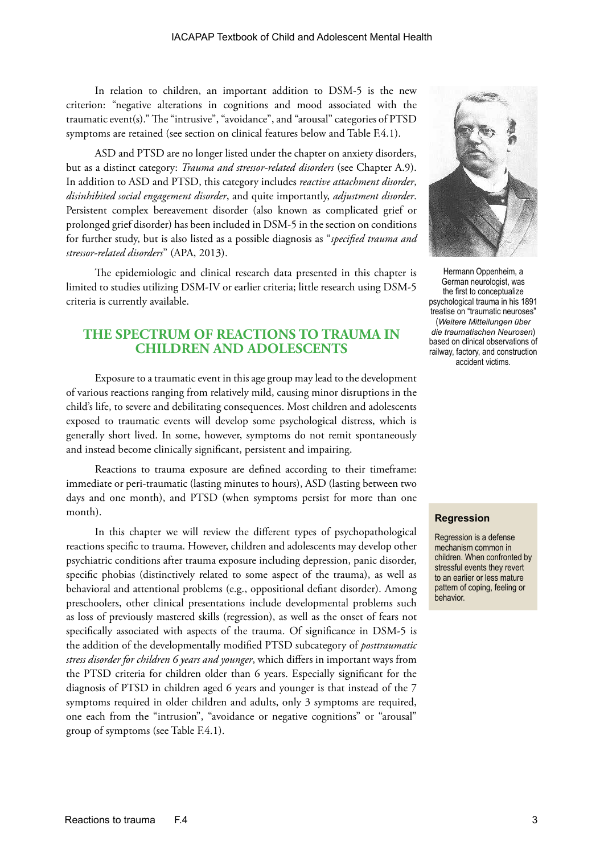In relation to children, an important addition to DSM-5 is the new criterion: "negative alterations in cognitions and mood associated with the traumatic event(s)." The "intrusive", "avoidance", and "arousal" categories of PTSD symptoms are retained (see section on clinical features below and Table F.4.1).

ASD and PTSD are no longer listed under the chapter on anxiety disorders, but as a distinct category: *Trauma and stressor-related disorders* (see Chapter A.9). In addition to ASD and PTSD, this category includes *reactive attachment disorder*, *disinhibited social engagement disorder*, and quite importantly, *adjustment disorder*. Persistent complex bereavement disorder (also known as complicated grief or prolonged grief disorder) has been included in DSM-5 in the section on conditions for further study, but is also listed as a possible diagnosis as "*specified trauma and stressor-related disorders*" (APA, 2013).

The epidemiologic and clinical research data presented in this chapter is limited to studies utilizing DSM-IV or earlier criteria; little research using DSM-5 criteria is currently available.

## **THE SPECTRUM OF REACTIONS TO TRAUMA IN CHILDREN AND ADOLESCENTS**

Exposure to a traumatic event in this age group may lead to the development of various reactions ranging from relatively mild, causing minor disruptions in the child's life, to severe and debilitating consequences. Most children and adolescents exposed to traumatic events will develop some psychological distress, which is generally short lived. In some, however, symptoms do not remit spontaneously and instead become clinically significant, persistent and impairing.

Reactions to trauma exposure are defined according to their timeframe: immediate or peri-traumatic (lasting minutes to hours), ASD (lasting between two days and one month), and PTSD (when symptoms persist for more than one month).

In this chapter we will review the different types of psychopathological reactions specific to trauma. However, children and adolescents may develop other psychiatric conditions after trauma exposure including depression, panic disorder, specific phobias (distinctively related to some aspect of the trauma), as well as behavioral and attentional problems (e.g., oppositional defiant disorder). Among preschoolers, other clinical presentations include developmental problems such as loss of previously mastered skills (regression), as well as the onset of fears not specifically associated with aspects of the trauma. Of significance in DSM-5 is the addition of the developmentally modified PTSD subcategory of *posttraumatic stress disorder for children 6 years and younger*, which differs in important ways from the PTSD criteria for children older than 6 years. Especially significant for the diagnosis of PTSD in children aged 6 years and younger is that instead of the 7 symptoms required in older children and adults, only 3 symptoms are required, one each from the "intrusion", "avoidance or negative cognitions" or "arousal" group of symptoms (see Table F.4.1).



Hermann Oppenheim, a German neurologist, was the first to conceptualize psychological trauma in his 1891 treatise on "traumatic neuroses" (*Weitere Mitteilungen über die traumatischen Neurosen*) based on clinical observations of railway, factory, and construction accident victims.

#### **Regression**

Regression is a defense mechanism common in children. When confronted by stressful events they revert to an earlier or less mature pattern of coping, feeling or behavior.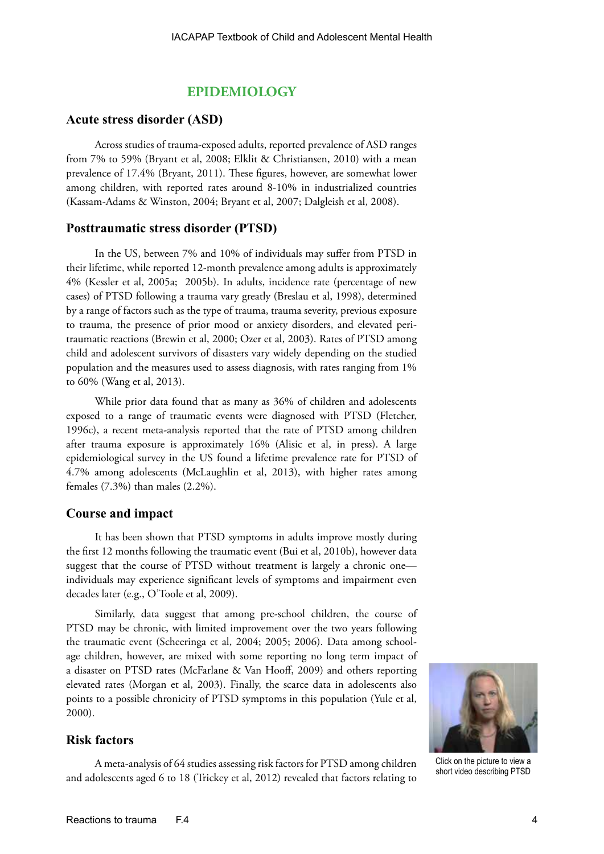## **EPIDEMIOLOGY**

#### **Acute stress disorder (ASD)**

Across studies of trauma-exposed adults, reported prevalence of ASD ranges from 7% to 59% (Bryant et al, 2008; Elklit & Christiansen, 2010) with a mean prevalence of 17.4% (Bryant, 2011). These figures, however, are somewhat lower among children, with reported rates around 8-10% in industrialized countries (Kassam-Adams & Winston, 2004; Bryant et al, 2007; Dalgleish et al, 2008).

#### **Posttraumatic stress disorder (PTSD)**

In the US, between 7% and 10% of individuals may suffer from PTSD in their lifetime, while reported 12-month prevalence among adults is approximately 4% (Kessler et al, 2005a; 2005b). In adults, incidence rate (percentage of new cases) of PTSD following a trauma vary greatly (Breslau et al, 1998), determined by a range of factors such as the type of trauma, trauma severity, previous exposure to trauma, the presence of prior mood or anxiety disorders, and elevated peritraumatic reactions (Brewin et al, 2000; Ozer et al, 2003). Rates of PTSD among child and adolescent survivors of disasters vary widely depending on the studied population and the measures used to assess diagnosis, with rates ranging from 1% to 60% (Wang et al, 2013).

While prior data found that as many as 36% of children and adolescents exposed to a range of traumatic events were diagnosed with PTSD (Fletcher, 1996c), a recent meta-analysis reported that the rate of PTSD among children after trauma exposure is approximately 16% (Alisic et al, in press). A large epidemiological survey in the US found a lifetime prevalence rate for PTSD of 4.7% among adolescents (McLaughlin et al, 2013), with higher rates among females (7.3%) than males (2.2%).

#### **Course and impact**

It has been shown that PTSD symptoms in adults improve mostly during the first 12 months following the traumatic event (Bui et al, 2010b), however data suggest that the course of PTSD without treatment is largely a chronic one individuals may experience significant levels of symptoms and impairment even decades later (e.g., O'Toole et al, 2009).

Similarly, data suggest that among pre-school children, the course of PTSD may be chronic, with limited improvement over the two years following the traumatic event (Scheeringa et al, 2004; 2005; 2006). Data among schoolage children, however, are mixed with some reporting no long term impact of a disaster on PTSD rates (McFarlane & Van Hooff, 2009) and others reporting elevated rates (Morgan et al, 2003). Finally, the scarce data in adolescents also points to a possible chronicity of PTSD symptoms in this population (Yule et al, 2000).

### **Risk factors**

A meta-analysis of 64 studies assessing risk factors for PTSD among children and adolescents aged 6 to 18 (Trickey et al, 2012) revealed that factors relating to



Click on the picture to view a short video describing PTSD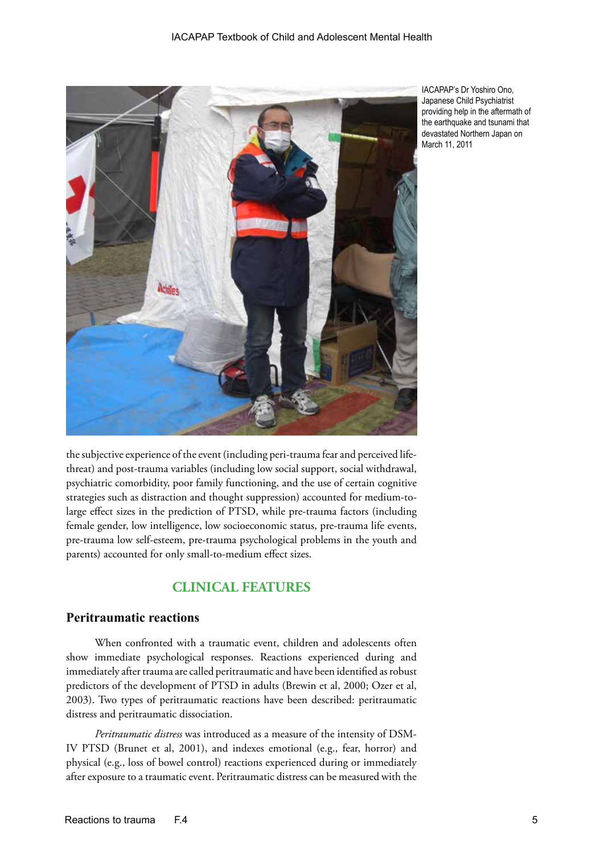

IACAPAP's Dr Yoshiro Ono, Japanese Child Psychiatrist providing help in the aftermath of the earthquake and tsunami that devastated Northern Japan on March 11, 2011

the subjective experience of the event (including peri-trauma fear and perceived lifethreat) and post-trauma variables (including low social support, social withdrawal, psychiatric comorbidity, poor family functioning, and the use of certain cognitive strategies such as distraction and thought suppression) accounted for medium-tolarge effect sizes in the prediction of PTSD, while pre-trauma factors (including female gender, low intelligence, low socioeconomic status, pre-trauma life events, pre-trauma low self-esteem, pre-trauma psychological problems in the youth and parents) accounted for only small-to-medium effect sizes.

## **CLINICAL FEATURES**

## **Peritraumatic reactions**

When confronted with a traumatic event, children and adolescents often show immediate psychological responses. Reactions experienced during and immediately after trauma are called peritraumatic and have been identified as robust predictors of the development of PTSD in adults (Brewin et al, 2000; Ozer et al, 2003). Two types of peritraumatic reactions have been described: peritraumatic distress and peritraumatic dissociation.

*Peritraumatic distress* was introduced as a measure of the intensity of DSM-IV PTSD (Brunet et al, 2001), and indexes emotional (e.g., fear, horror) and physical (e.g., loss of bowel control) reactions experienced during or immediately after exposure to a traumatic event. Peritraumatic distress can be measured with the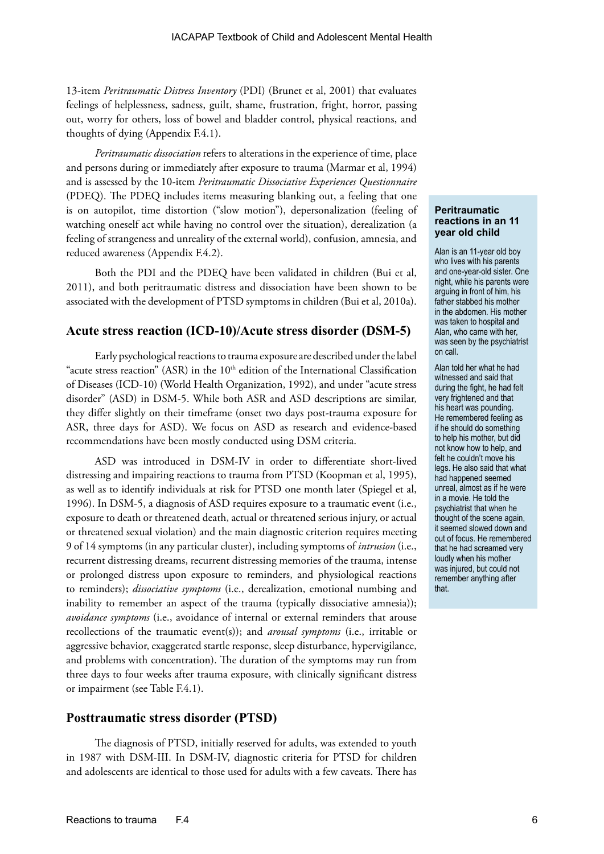13-item *Peritraumatic Distress Inventory* (PDI) (Brunet et al, 2001) that evaluates feelings of helplessness, sadness, guilt, shame, frustration, fright, horror, passing out, worry for others, loss of bowel and bladder control, physical reactions, and thoughts of dying (Appendix F.4.1).

*Peritraumatic dissociation* refers to alterations in the experience of time, place and persons during or immediately after exposure to trauma (Marmar et al, 1994) and is assessed by the 10-item *Peritraumatic Dissociative Experiences Questionnaire* (PDEQ). The PDEQ includes items measuring blanking out, a feeling that one is on autopilot, time distortion ("slow motion"), depersonalization (feeling of watching oneself act while having no control over the situation), derealization (a feeling of strangeness and unreality of the external world), confusion, amnesia, and reduced awareness (Appendix F.4.2).

Both the PDI and the PDEQ have been validated in children (Bui et al, 2011), and both peritraumatic distress and dissociation have been shown to be associated with the development of PTSD symptoms in children (Bui et al, 2010a).

## **Acute stress reaction (ICD-10)/Acute stress disorder (DSM-5)**

Early psychological reactions to trauma exposure are described under the label "acute stress reaction" (ASR) in the  $10<sup>th</sup>$  edition of the International Classification of Diseases (ICD-10) (World Health Organization, 1992), and under "acute stress disorder" (ASD) in DSM-5. While both ASR and ASD descriptions are similar, they differ slightly on their timeframe (onset two days post-trauma exposure for ASR, three days for ASD). We focus on ASD as research and evidence-based recommendations have been mostly conducted using DSM criteria.

ASD was introduced in DSM-IV in order to differentiate short-lived distressing and impairing reactions to trauma from PTSD (Koopman et al, 1995), as well as to identify individuals at risk for PTSD one month later (Spiegel et al, 1996). In DSM-5, a diagnosis of ASD requires exposure to a traumatic event (i.e., exposure to death or threatened death, actual or threatened serious injury, or actual or threatened sexual violation) and the main diagnostic criterion requires meeting 9 of 14 symptoms (in any particular cluster), including symptoms of *intrusion* (i.e., recurrent distressing dreams, recurrent distressing memories of the trauma, intense or prolonged distress upon exposure to reminders, and physiological reactions to reminders); *dissociative symptoms* (i.e., derealization, emotional numbing and inability to remember an aspect of the trauma (typically dissociative amnesia)); *avoidance symptoms* (i.e., avoidance of internal or external reminders that arouse recollections of the traumatic event(s)); and *arousal symptoms* (i.e., irritable or aggressive behavior, exaggerated startle response, sleep disturbance, hypervigilance, and problems with concentration). The duration of the symptoms may run from three days to four weeks after trauma exposure, with clinically significant distress or impairment (see Table F.4.1).

### **Posttraumatic stress disorder (PTSD)**

The diagnosis of PTSD, initially reserved for adults, was extended to youth in 1987 with DSM-III. In DSM-IV, diagnostic criteria for PTSD for children and adolescents are identical to those used for adults with a few caveats. There has

#### **Peritraumatic reactions in an 11 year old child**

Alan is an 11-year old boy who lives with his parents and one-year-old sister. One night, while his parents were arguing in front of him, his father stabbed his mother in the abdomen. His mother was taken to hospital and Alan, who came with her, was seen by the psychiatrist on call.

Alan told her what he had witnessed and said that during the fight, he had felt very frightened and that his heart was pounding. He remembered feeling as if he should do something to help his mother, but did not know how to help, and felt he couldn't move his legs. He also said that what had happened seemed unreal, almost as if he were in a movie. He told the psychiatrist that when he thought of the scene again, it seemed slowed down and out of focus. He remembered that he had screamed very loudly when his mother was injured, but could not remember anything after that.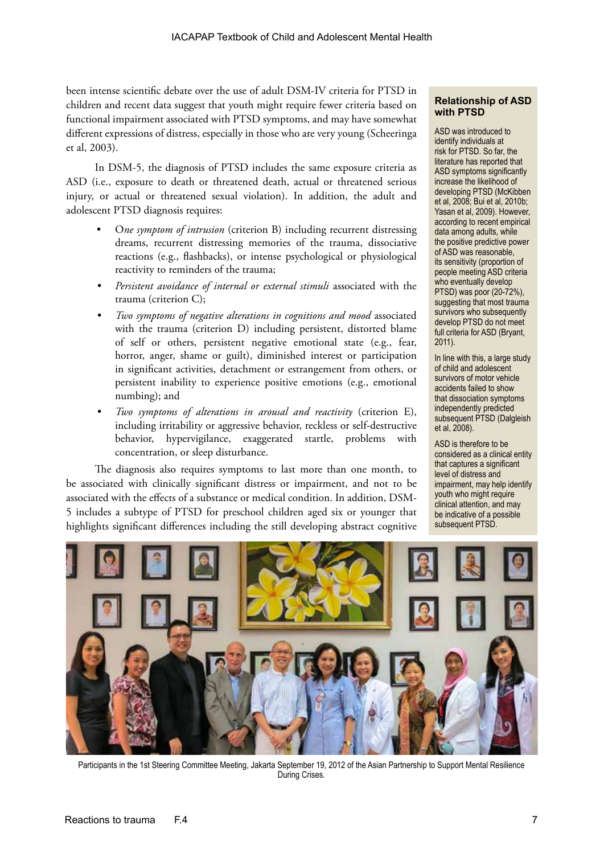been intense scientific debate over the use of adult DSM-IV criteria for PTSD in children and recent data suggest that youth might require fewer criteria based on functional impairment associated with PTSD symptoms, and may have somewhat different expressions of distress, especially in those who are very young (Scheeringa et al, 2003).

In DSM-5, the diagnosis of PTSD includes the same exposure criteria as ASD (i.e., exposure to death or threatened death, actual or threatened serious injury, or actual or threatened sexual violation). In addition, the adult and adolescent PTSD diagnosis requires:

- O*ne symptom of intrusion* (criterion B) including recurrent distressing dreams, recurrent distressing memories of the trauma, dissociative reactions (e.g., flashbacks), or intense psychological or physiological reactivity to reminders of the trauma;
- *• Persistent avoidance of internal or external stimuli* associated with the trauma (criterion C);
- *• Two symptoms of negative alterations in cognitions and mood* associated with the trauma (criterion D) including persistent, distorted blame of self or others, persistent negative emotional state (e.g., fear, horror, anger, shame or guilt), diminished interest or participation in significant activities, detachment or estrangement from others, or persistent inability to experience positive emotions (e.g., emotional numbing); and
- *• Two symptoms of alterations in arousal and reactivity* (criterion E), including irritability or aggressive behavior, reckless or self-destructive behavior, hypervigilance, exaggerated startle, problems with concentration, or sleep disturbance.

The diagnosis also requires symptoms to last more than one month, to be associated with clinically significant distress or impairment, and not to be associated with the effects of a substance or medical condition. In addition, DSM-5 includes a subtype of PTSD for preschool children aged six or younger that highlights significant differences including the still developing abstract cognitive

#### **Relationship of ASD with PTSD**

ASD was introduced to identify individuals at risk for PTSD. So far, the literature has reported that ASD symptoms significantly increase the likelihood of developing PTSD (McKibben et al, 2008; Bui et al, 2010b; Yasan et al, 2009). However, according to recent empirical data among adults, while the positive predictive power of ASD was reasonable, its sensitivity (proportion of people meeting ASD criteria who eventually develop PTSD) was poor (20-72%), suggesting that most trauma survivors who subsequently develop PTSD do not meet full criteria for ASD (Bryant, 2011).

In line with this, a large study of child and adolescent survivors of motor vehicle accidents failed to show that dissociation symptoms independently predicted subsequent PTSD (Dalgleish et al, 2008).

ASD is therefore to be considered as a clinical entity that captures a significant level of distress and impairment, may help identify youth who might require clinical attention, and may be indicative of a possible subsequent PTSD.



Participants in the 1st Steering Committee Meeting, Jakarta September 19, 2012 of the Asian Partnership to Support Mental Resilience During Crises.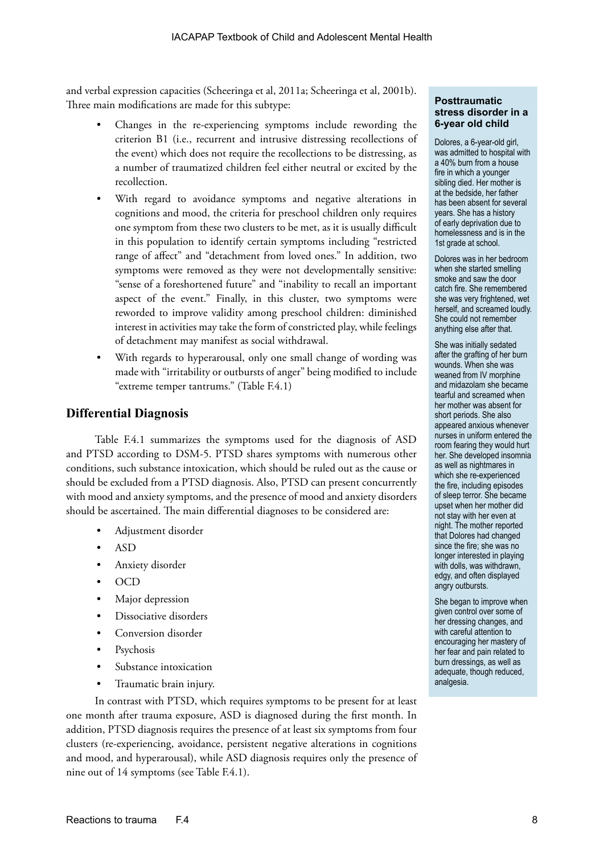and verbal expression capacities (Scheeringa et al, 2011a; Scheeringa et al, 2001b). Three main modifications are made for this subtype:

- Changes in the re-experiencing symptoms include rewording the criterion B1 (i.e., recurrent and intrusive distressing recollections of the event) which does not require the recollections to be distressing, as a number of traumatized children feel either neutral or excited by the recollection.
- With regard to avoidance symptoms and negative alterations in cognitions and mood, the criteria for preschool children only requires one symptom from these two clusters to be met, as it is usually difficult in this population to identify certain symptoms including "restricted range of affect" and "detachment from loved ones." In addition, two symptoms were removed as they were not developmentally sensitive: "sense of a foreshortened future" and "inability to recall an important aspect of the event." Finally, in this cluster, two symptoms were reworded to improve validity among preschool children: diminished interest in activities may take the form of constricted play, while feelings of detachment may manifest as social withdrawal.
- With regards to hyperarousal, only one small change of wording was made with "irritability or outbursts of anger" being modified to include "extreme temper tantrums." (Table F.4.1)

## **Differential Diagnosis**

Table F.4.1 summarizes the symptoms used for the diagnosis of ASD and PTSD according to DSM-5. PTSD shares symptoms with numerous other conditions, such substance intoxication, which should be ruled out as the cause or should be excluded from a PTSD diagnosis. Also, PTSD can present concurrently with mood and anxiety symptoms, and the presence of mood and anxiety disorders should be ascertained. The main differential diagnoses to be considered are:

- Adjustment disorder
- ASD
- Anxiety disorder
- OCD
- Major depression
- Dissociative disorders
- Conversion disorder
- **Psychosis**
- Substance intoxication
- Traumatic brain injury.

In contrast with PTSD, which requires symptoms to be present for at least one month after trauma exposure, ASD is diagnosed during the first month. In addition, PTSD diagnosis requires the presence of at least six symptoms from four clusters (re-experiencing, avoidance, persistent negative alterations in cognitions and mood, and hyperarousal), while ASD diagnosis requires only the presence of nine out of 14 symptoms (see Table F.4.1).

#### **Posttraumatic stress disorder in a 6-year old child**

Dolores, a 6-year-old girl, was admitted to hospital with a 40% burn from a house fire in which a younger sibling died. Her mother is at the bedside, her father has been absent for several years. She has a history of early deprivation due to homelessness and is in the 1st grade at school.

Dolores was in her bedroom when she started smelling smoke and saw the door catch fire. She remembered she was very frightened, wet herself, and screamed loudly. She could not remember anything else after that.

She was initially sedated after the grafting of her burn wounds. When she was weaned from IV morphine and midazolam she became tearful and screamed when her mother was absent for short periods. She also appeared anxious whenever nurses in uniform entered the room fearing they would hurt her. She developed insomnia as well as nightmares in which she re-experienced the fire, including episodes of sleep terror. She became upset when her mother did not stay with her even at night. The mother reported that Dolores had changed since the fire; she was no longer interested in playing with dolls, was withdrawn, edgy, and often displayed angry outbursts.

She began to improve when given control over some of her dressing changes, and with careful attention to encouraging her mastery of her fear and pain related to burn dressings, as well as adequate, though reduced, analgesia.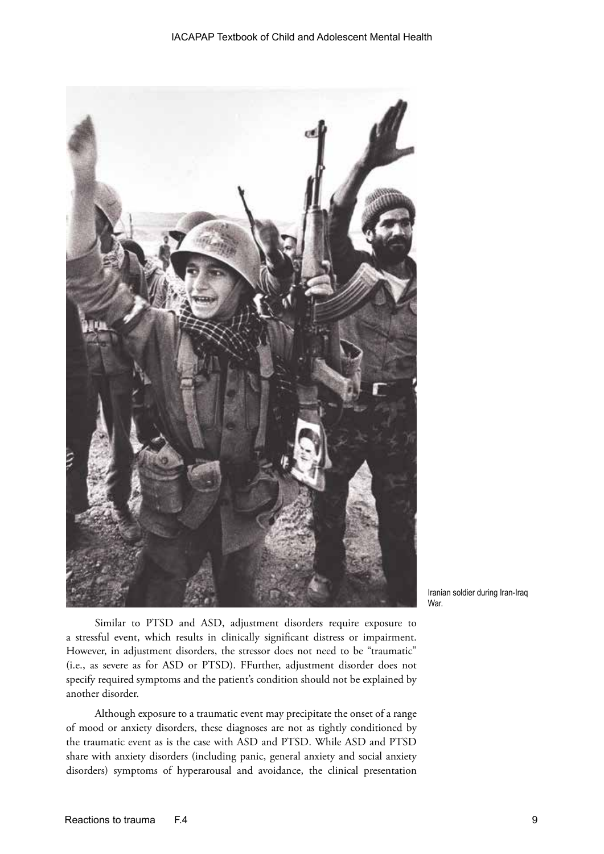

Iranian soldier during Iran-Iraq War.

Similar to PTSD and ASD, adjustment disorders require exposure to a stressful event, which results in clinically significant distress or impairment. However, in adjustment disorders, the stressor does not need to be "traumatic" (i.e., as severe as for ASD or PTSD). FFurther, adjustment disorder does not specify required symptoms and the patient's condition should not be explained by another disorder.

Although exposure to a traumatic event may precipitate the onset of a range of mood or anxiety disorders, these diagnoses are not as tightly conditioned by the traumatic event as is the case with ASD and PTSD. While ASD and PTSD share with anxiety disorders (including panic, general anxiety and social anxiety disorders) symptoms of hyperarousal and avoidance, the clinical presentation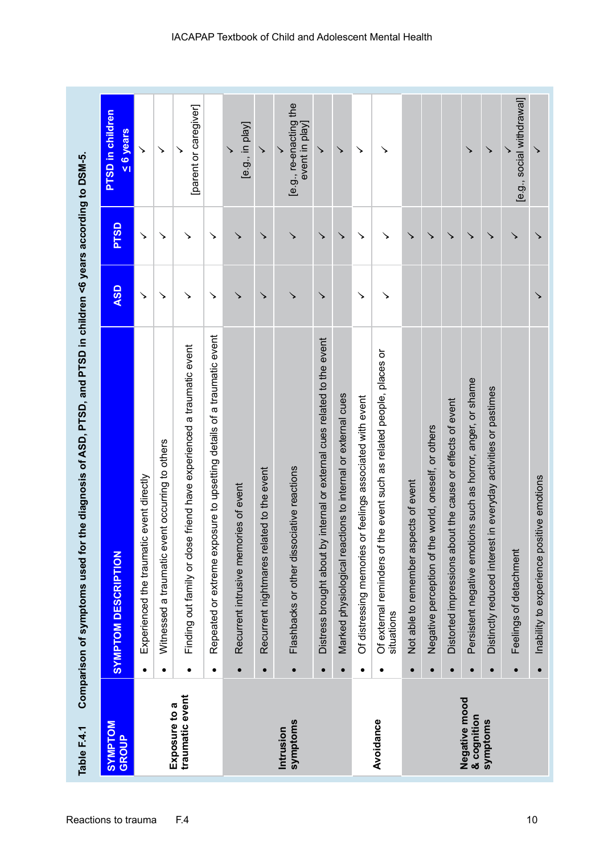| Table F.4.1                      | Comparison of symptoms used for the diagnosis of ASD, PTSD, and PTSD in children <6 years according to DSM-5. |            |             |                                               |
|----------------------------------|---------------------------------------------------------------------------------------------------------------|------------|-------------|-----------------------------------------------|
| <b>NOTAMN/S</b><br><b>GROUP</b>  | <b>SYMPTOM DESCRIPTION</b>                                                                                    | <b>ASD</b> | <b>PTSD</b> | <b>PTSD</b> in children<br>$\leq 6$ years     |
|                                  | Experienced the traumatic event directly                                                                      | ↘          | ↘           | ↘                                             |
|                                  | Witnessed a traumatic event occurring to others<br>$\bullet$                                                  | ↘          | ↘           | ↘                                             |
| traumatic event<br>Exposure to a | Finding out family or close friend have experienced a traumatic event<br>$\bullet$                            | ↘          | ↘           | [parent or caregiver]                         |
|                                  | Repeated or extreme exposure to upsetting details of a traumatic event                                        | $\searrow$ | ↘           |                                               |
|                                  | Recurrent intrusive memories of event<br>$\bullet$                                                            | ↘          | ↘           | [e.g., in play]                               |
|                                  | Recurrent nightmares related to the event<br>$\bullet$                                                        | ↘          | ↘           | ↘                                             |
| symptoms<br>Intrusion            | Flashbacks or other dissociative reactions<br>$\bullet$                                                       | ↘          | ↘           | [e.g., re-enacting the<br>event in play]<br>↘ |
|                                  | Distress brought about by internal or external cues related to the event                                      | ↘          | ↘           | ↘                                             |
|                                  | Marked physiological reactions to internal or external cues<br>$\bullet$                                      |            | ↘           | ↘                                             |
|                                  | or feelings associated with event<br>Of distressing memories<br>٠                                             | ↘          | ↘           | ↘                                             |
| Avoidance                        | the event such as related people, places or<br>Of external reminders of<br>situations                         | ↘          | ↘           | ↘                                             |
|                                  | Not able to remember aspects of event                                                                         |            | ↘           |                                               |
|                                  | Negative perception of the world, oneself, or others                                                          |            | ↘           |                                               |
|                                  | Distorted impressions about the cause or effects of event                                                     |            | ↘           |                                               |
| Negative mood<br>& cognition     | Persistent negative emotions such as horror, anger, or shame                                                  |            | ↘           | ↘                                             |
| symptoms                         | Distinctly reduced interest in everyday activities or pastimes<br>$\bullet$                                   |            | ↘           | ↘                                             |
|                                  | Feelings of detachment                                                                                        |            |             | [e.g., social withdrawal]                     |
|                                  | Inability to experience positive emotions                                                                     |            | ↘           |                                               |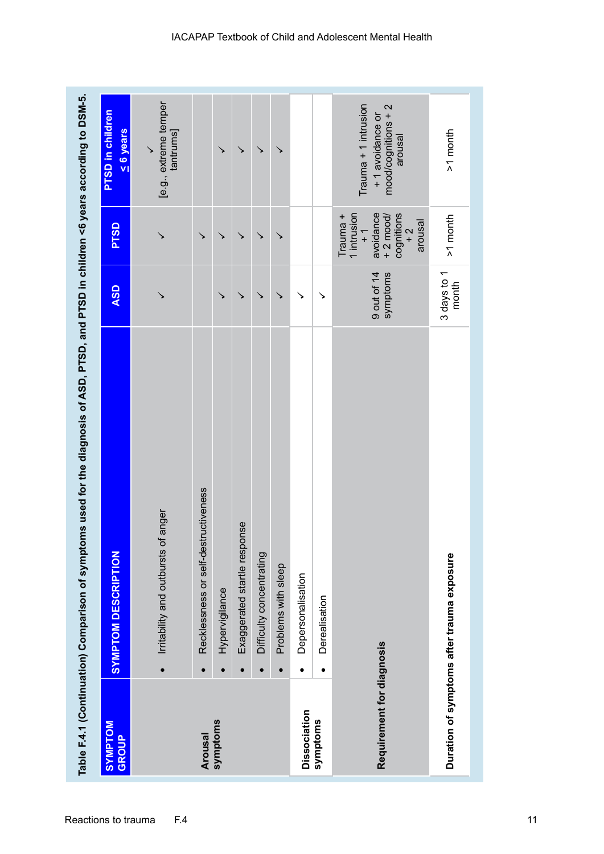|                           |           | Table F.4.1 (Continuation) Comparison of symptoms used for the diagnosis of ASD, PTSD, and PTSD in children <6 years according to DSM-5. |                         |                                                                                                                |                                                                             |
|---------------------------|-----------|------------------------------------------------------------------------------------------------------------------------------------------|-------------------------|----------------------------------------------------------------------------------------------------------------|-----------------------------------------------------------------------------|
| <b>NOLUMAS</b><br>GROUP   |           | <b>SYMPTOM DESCRIPTION</b>                                                                                                               | <b>ASD</b>              | <b>PTSD</b>                                                                                                    | <b>PTSD</b> in children<br>$\leq 6$ years                                   |
|                           | $\bullet$ | of anger<br>Irritability and outbursts                                                                                                   |                         |                                                                                                                | [e.g., extreme temper<br>tantrums]                                          |
| Arousal                   | $\bullet$ | Recklessness or self-destructiveness                                                                                                     |                         | ↘                                                                                                              |                                                                             |
| symptoms                  |           | Hypervigilance                                                                                                                           |                         | ↘                                                                                                              |                                                                             |
|                           |           | Exaggerated startle response                                                                                                             | ↘                       | ↘                                                                                                              |                                                                             |
|                           |           | Difficulty concentrating                                                                                                                 | ↘                       | ↘                                                                                                              | ↘                                                                           |
|                           | $\bullet$ | Problems with sleep                                                                                                                      | ↘                       | ↘                                                                                                              |                                                                             |
| <b>Dissociation</b>       | $\bullet$ | Depersonalisation                                                                                                                        |                         |                                                                                                                |                                                                             |
| symptoms                  | $\bullet$ | Derealisation                                                                                                                            | ↘                       |                                                                                                                |                                                                             |
| Requirement for diagnosis |           |                                                                                                                                          | 9 out of 14<br>symptoms | avoidance<br>1 intrusion<br>cognitions<br>$+2$ mood/<br>Trauma +<br>arousal<br>$\frac{1}{2}$<br>$\overline{+}$ | $Trauma + 1$ intrusion<br>mood/cognitions + 2<br>+1 avoidance or<br>arousal |
|                           |           | Duration of symptoms after trauma exposure                                                                                               | 3 days to 1<br>month    | $>1$ month                                                                                                     | >1 month                                                                    |
|                           |           |                                                                                                                                          |                         |                                                                                                                |                                                                             |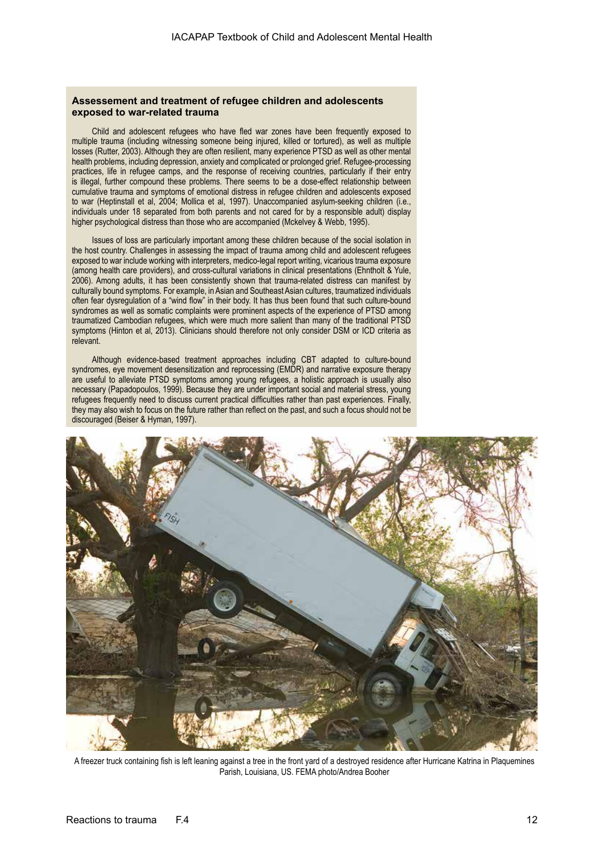#### **Assessement and treatment of refugee children and adolescents exposed to war-related trauma**

Child and adolescent refugees who have fled war zones have been frequently exposed to multiple trauma (including witnessing someone being injured, killed or tortured), as well as multiple losses (Rutter, 2003). Although they are often resilient, many experience PTSD as well as other mental health problems, including depression, anxiety and complicated or prolonged grief. Refugee-processing practices, life in refugee camps, and the response of receiving countries, particularly if their entry is illegal, further compound these problems. There seems to be a dose-effect relationship between cumulative trauma and symptoms of emotional distress in refugee children and adolescents exposed to war (Heptinstall et al, 2004; Mollica et al, 1997). Unaccompanied asylum-seeking children (i.e., individuals under 18 separated from both parents and not cared for by a responsible adult) display higher psychological distress than those who are accompanied (Mckelvey & Webb, 1995).

Issues of loss are particularly important among these children because of the social isolation in the host country. Challenges in assessing the impact of trauma among child and adolescent refugees exposed to war include working with interpreters, medico-legal report writing, vicarious trauma exposure (among health care providers), and cross-cultural variations in clinical presentations (Ehntholt & Yule, 2006). Among adults, it has been consistently shown that trauma-related distress can manifest by culturally bound symptoms. For example, in Asian and Southeast Asian cultures, traumatized individuals often fear dysregulation of a "wind flow" in their body. It has thus been found that such culture-bound syndromes as well as somatic complaints were prominent aspects of the experience of PTSD among traumatized Cambodian refugees, which were much more salient than many of the traditional PTSD symptoms (Hinton et al, 2013). Clinicians should therefore not only consider DSM or ICD criteria as relevant.

Although evidence-based treatment approaches including CBT adapted to culture-bound syndromes, eye movement desensitization and reprocessing (EMDR) and narrative exposure therapy are useful to alleviate PTSD symptoms among young refugees, a holistic approach is usually also necessary (Papadopoulos, 1999). Because they are under important social and material stress, young refugees frequently need to discuss current practical difficulties rather than past experiences. Finally, they may also wish to focus on the future rather than reflect on the past, and such a focus should not be discouraged (Beiser & Hyman, 1997).



A freezer truck containing fish is left leaning against a tree in the front yard of a destroyed residence after Hurricane Katrina in Plaquemines Parish, Louisiana, US. FEMA photo/Andrea Booher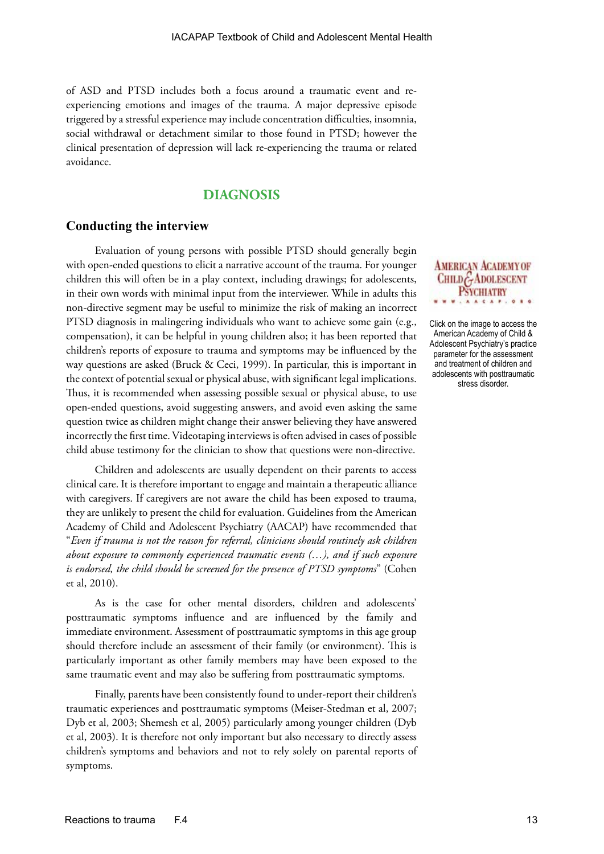of ASD and PTSD includes both a focus around a traumatic event and reexperiencing emotions and images of the trauma. A major depressive episode triggered by a stressful experience may include concentration difficulties, insomnia, social withdrawal or detachment similar to those found in PTSD; however the clinical presentation of depression will lack re-experiencing the trauma or related avoidance.

## **DIAGNOSIS**

#### **Conducting the interview**

Evaluation of young persons with possible PTSD should generally begin with open-ended questions to elicit a narrative account of the trauma. For younger children this will often be in a play context, including drawings; for adolescents, in their own words with minimal input from the interviewer. While in adults this non-directive segment may be useful to minimize the risk of making an incorrect PTSD diagnosis in malingering individuals who want to achieve some gain (e.g., compensation), it can be helpful in young children also; it has been reported that children's reports of exposure to trauma and symptoms may be influenced by the way questions are asked (Bruck & Ceci, 1999). In particular, this is important in the context of potential sexual or physical abuse, with significant legal implications. Thus, it is recommended when assessing possible sexual or physical abuse, to use open-ended questions, avoid suggesting answers, and avoid even asking the same question twice as children might change their answer believing they have answered incorrectly the first time. Videotaping interviews is often advised in cases of possible child abuse testimony for the clinician to show that questions were non-directive.

Children and adolescents are usually dependent on their parents to access clinical care. It is therefore important to engage and maintain a therapeutic alliance with caregivers. If caregivers are not aware the child has been exposed to trauma, they are unlikely to present the child for evaluation. Guidelines from the American Academy of Child and Adolescent Psychiatry (AACAP) have recommended that "*Even if trauma is not the reason for referral, clinicians should routinely ask children about exposure to commonly experienced traumatic events (…), and if such exposure is endorsed, the child should be screened for the presence of PTSD symptoms*" (Cohen et al, 2010).

As is the case for other mental disorders, children and adolescents' posttraumatic symptoms influence and are influenced by the family and immediate environment. Assessment of posttraumatic symptoms in this age group should therefore include an assessment of their family (or environment). This is particularly important as other family members may have been exposed to the same traumatic event and may also be suffering from posttraumatic symptoms.

Finally, parents have been consistently found to under-report their children's traumatic experiences and posttraumatic symptoms (Meiser-Stedman et al, 2007; Dyb et al, 2003; Shemesh et al, 2005) particularly among younger children (Dyb et al, 2003). It is therefore not only important but also necessary to directly assess children's symptoms and behaviors and not to rely solely on parental reports of symptoms.

#### **AMERICAN ACADEMY OF** CHILD GADOLESCENT **PSYCHIATRY**  $0.86$

Click on the image to access the American Academy of Child & Adolescent Psychiatry's practice parameter for the assessment and treatment of children and adolescents with posttraumatic stress disorder.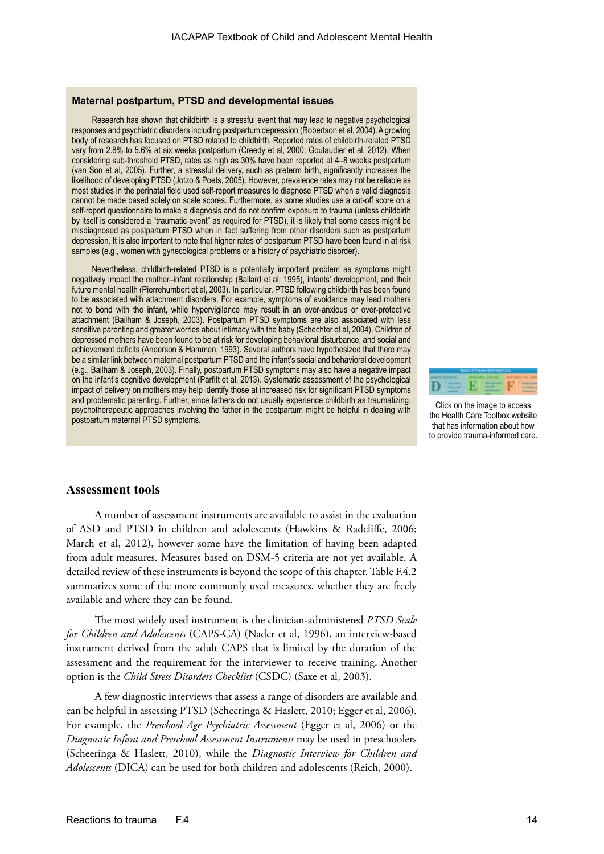#### **Maternal postpartum, PTSD and developmental issues**

Research has shown that childbirth is a stressful event that may lead to negative psychological responses and psychiatric disorders including postpartum depression (Robertson et al, 2004). A growing body of research has focused on PTSD related to childbirth. Reported rates of childbirth-related PTSD vary from 2.8% to 5.6% at six weeks postpartum (Creedy et al, 2000; Goutaudier et al, 2012). When considering sub-threshold PTSD, rates as high as 30% have been reported at 4–8 weeks postpartum (van Son et al, 2005). Further, a stressful delivery, such as preterm birth, significantly increases the likelihood of developing PTSD (Jotzo & Poets, 2005). However, prevalence rates may not be reliable as most studies in the perinatal field used self-report measures to diagnose PTSD when a valid diagnosis cannot be made based solely on scale scores. Furthermore, as some studies use a cut-off score on a self-report questionnaire to make a diagnosis and do not confirm exposure to trauma (unless childbirth by itself is considered a "traumatic event" as required for PTSD), it is likely that some cases might be misdiagnosed as postpartum PTSD when in fact suffering from other disorders such as postpartum depression. It is also important to note that higher rates of postpartum PTSD have been found in at risk samples (e.g., women with gynecological problems or a history of psychiatric disorder).

Nevertheless, childbirth-related PTSD is a potentially important problem as symptoms might negatively impact the mother–infant relationship (Ballard et al, 1995), infants' development, and their future mental health (Pierrehumbert et al, 2003). In particular, PTSD following childbirth has been found to be associated with attachment disorders. For example, symptoms of avoidance may lead mothers not to bond with the infant, while hypervigilance may result in an over-anxious or over-protective attachment (Bailham & Joseph, 2003). Postpartum PTSD symptoms are also associated with less sensitive parenting and greater worries about intimacy with the baby (Schechter et al, 2004). Children of depressed mothers have been found to be at risk for developing behavioral disturbance, and social and achievement deficits (Anderson & Hammen, 1993). Several authors have hypothesized that there may be a similar link between maternal postpartum PTSD and the infant's social and behavioral development (e.g., Bailham & Joseph, 2003). Finally, postpartum PTSD symptoms may also have a negative impact on the infant's cognitive development (Parfitt et al, 2013). Systematic assessment of the psychological impact of delivery on mothers may help identify those at increased risk for significant PTSD symptoms and problematic parenting. Further, since fathers do not usually experience childbirth as traumatizing, psychotherapeutic approaches involving the father in the postpartum might be helpful in dealing with postpartum maternal PTSD symptoms.



Click on the image to access the Health Care Toolbox website that has information about how to provide trauma-informed care.

#### **Assessment tools**

A number of assessment instruments are available to assist in the evaluation of ASD and PTSD in children and adolescents (Hawkins & Radcliffe, 2006; March et al, 2012), however some have the limitation of having been adapted from adult measures. Measures based on DSM-5 criteria are not yet available. A detailed review of these instruments is beyond the scope of this chapter. Table F.4.2 summarizes some of the more commonly used measures, whether they are freely available and where they can be found.

The most widely used instrument is the clinician-administered *PTSD Scale for Children and Adolescents* (CAPS-CA) (Nader et al, 1996), an interview-based instrument derived from the adult CAPS that is limited by the duration of the assessment and the requirement for the interviewer to receive training. Another option is the *Child Stress Disorders Checklist* (CSDC) (Saxe et al, 2003).

A few diagnostic interviews that assess a range of disorders are available and can be helpful in assessing PTSD (Scheeringa & Haslett, 2010; Egger et al, 2006). For example, the *Preschool Age Psychiatric Assessment* (Egger et al, 2006) or the *Diagnostic Infant and Preschool Assessment Instruments* may be used in preschoolers (Scheeringa & Haslett, 2010), while the *Diagnostic Interview for Children and Adolescents* (DICA) can be used for both children and adolescents (Reich, 2000).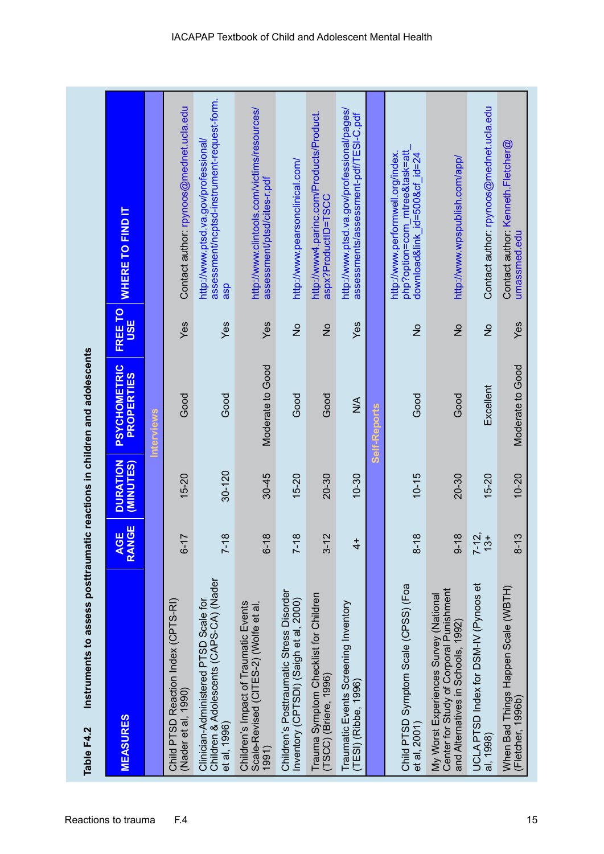| Instruments to assess posttraumatic reactions in children and adolescents<br>Table F4.2                                |                      |                              |                                   |                       |                                                                                                     |
|------------------------------------------------------------------------------------------------------------------------|----------------------|------------------------------|-----------------------------------|-----------------------|-----------------------------------------------------------------------------------------------------|
| <b>MEASURES</b>                                                                                                        | AGE<br>RANGE         | <b>DURATION</b><br>(MINUTES) | PSYCHOMETRIC<br><b>PROPERTIES</b> | FREE TO<br><b>USE</b> | WHERE TO FIND IT                                                                                    |
|                                                                                                                        |                      |                              | Interviews                        |                       |                                                                                                     |
| Child PTSD Reaction Index (CPTS-RI)<br>(Nader et al, 1990)                                                             | $6 - 17$             | $15 - 20$                    | Good                              | Yes                   | Contact author: rpynoos@mednet.ucla.edu                                                             |
| Children & Adolescents (CAPS-CA) (Nader<br>Clinician-Administered PTSD Scale for<br>et al, 1996)                       | $7 - 18$             | $30 - 120$                   | Good                              | Yes                   | assessment/ncptsd-instrument-request-form.<br>http://www.ptsd.va.gov/professional/<br>asp           |
| Children's Impact of Traumatic Events<br>Scale-Revised (CITES-2) (Wolfe et al,<br>1991)                                | $6 - 18$             | $30 - 45$                    | Moderate to Good                  | Yes                   | http://www.clintools.com/victims/resources/<br>assessment/ptsd/cites-r.pdf                          |
| Children's Posttraumatic Stress Disorder<br>Inventory (CPTSDI) (Saigh et al, 2000)                                     | $7 - 18$             | $15 - 20$                    | Good                              | $\frac{1}{2}$         | http://www.pearsonclinical.com/                                                                     |
| Trauma Symptom Checklist for Children<br>(TSCC) (Briere, 1996)                                                         | $3 - 12$             | 20-30                        | Good                              | $\frac{1}{2}$         | http://www4.parinc.com/Products/Product.<br>aspx?ProductID=TSCC                                     |
| Traumatic Events Screening Inventory<br>(TESI) (Ribbe, 1996)                                                           | $\frac{1}{4}$        | $10 - 30$                    | $\frac{1}{2}$                     | Yes                   | http://www.ptsd.va.gov/professional/pages/<br>assessments/assessment-pdf/TESI-C.pdf                 |
|                                                                                                                        |                      |                              | Self-Reports                      |                       |                                                                                                     |
| Child PTSD Symptom Scale (CPSS) (Foa<br>et al, 2001)                                                                   | $8 - 18$             | $10 - 15$                    | Good                              | $\frac{1}{2}$         | php?option=com_mtree&task=att<br>http://www.performwell.org/index.<br>download&link_id=500&cf_id=24 |
| Center for Study of Corporal Punishment<br>My Worst Experiences Survey (National<br>and Alternatives in Schools, 1992) | $9 - 18$             | 20-30                        | Good                              | $\frac{1}{2}$         | http://www.wpspublish.com/app/                                                                      |
| UCLA PTSD Index for DSM-IV (Pynoos et<br>al, 1998)                                                                     | $7 - 12$ ,<br>$13 +$ | $15 - 20$                    | Excellent                         | $\frac{1}{2}$         | Contact author: rpynoos@mednet.ucla.edu                                                             |
| When Bad Things Happen Scale (WBTH)<br>(Fletcher, 1996b)                                                               | $8 - 13$             | $10 - 20$                    | Moderate to Good                  | Yes                   | Contact author: Kenneth.Fletcher@<br>umassmed.edu                                                   |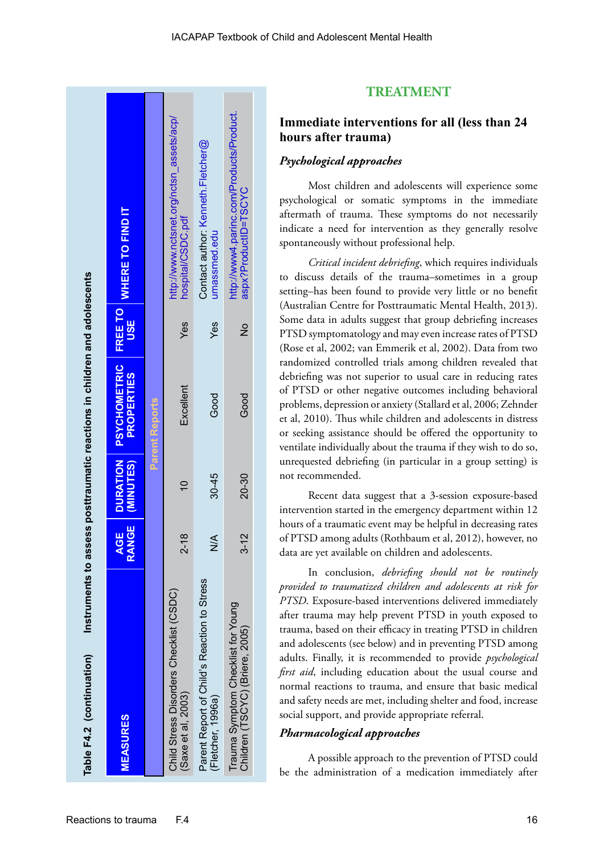| Table F4.2 (continuation)                                             |                                     |                              | Instruments to assess posttraumatic reactions in children and adolescents |                              |                                                                  |
|-----------------------------------------------------------------------|-------------------------------------|------------------------------|---------------------------------------------------------------------------|------------------------------|------------------------------------------------------------------|
| <b>MEASURES</b>                                                       | <b>RANGE</b><br>ш<br>$\overline{3}$ | <b>DURATION</b><br>(MINUTES) | <b>PSYCHOMETRIC</b><br><b>PROPERTIES</b>                                  | <b>FREE TO</b><br><b>USE</b> | <b>WHERE TO FIND IT</b>                                          |
|                                                                       |                                     |                              | <b>Parent Reports</b>                                                     |                              |                                                                  |
| Child Stress Disorders Checklist (CSDC)<br>$($ Saxe et al, 2003 $)$   | $\infty$<br>2-1                     | $\overline{0}$               | Excellent                                                                 | Yes                          | http://www.nctsnet.org/nctsn assets/acp/<br>hospital/CSDC.pdf    |
| Parent Report of Child's Reaction to Stress<br>(Fletcher, 1996a)      |                                     | $30 - 45$                    | Good                                                                      | Yes                          | Contact author: Kenneth.Fletcher@<br>umassmed.edu                |
| Trauma Symptom Checklist for Young<br>Children (TSCYC) (Briere, 2005) | $\mathbf{\sim}$<br>3-1              | 20-30                        | Good                                                                      | $\frac{1}{2}$                | http://www4.parinc.com/Products/Product.<br>aspx?ProductID=TSCYC |
|                                                                       |                                     |                              |                                                                           |                              |                                                                  |

## **TREATMENT**

## **Immediate interventions for all (less than 24 hours after trauma)**

#### *Psychological approaches*

Most children and adolescents will experience some psychological or somatic symptoms in the immediate aftermath of trauma. These symptoms do not necessarily indicate a need for intervention as they generally resolve spontaneously without professional help.

*Critical incident debriefing*, which requires individuals to discuss details of the trauma–sometimes in a group setting–has been found to provide very little or no benefit (Australian Centre for Posttraumatic Mental Health, 2013). Some data in adults suggest that group debriefing increases PTSD symptomatology and may even increase rates of PTSD (Rose et al, 2002; van Emmerik et al, 2002). Data from two randomized controlled trials among children revealed that debriefing was not superior to usual care in reducing rates of PTSD or other negative outcomes including behavioral problems, depression or anxiety (Stallard et al, 2006; Zehnder et al, 2010). Thus while children and adolescents in distress or seeking assistance should be offered the opportunity to ventilate individually about the trauma if they wish to do so, unrequested debriefing (in particular in a group setting) is not recommended.

Recent data suggest that a 3-session exposure-based intervention started in the emergency department within 12 hours of a traumatic event may be helpful in decreasing rates of PTSD among adults (Rothbaum et al, 2012), however, no data are yet available on children and adolescents.

In conclusion, *debriefing should not be routinely provided to traumatized children and adolescents at risk for PTSD*. Exposure-based interventions delivered immediately after trauma may help prevent PTSD in youth exposed to trauma, based on their efficacy in treating PTSD in children and adolescents (see below) and in preventing PTSD among adults. Finally, it is recommended to provide *psychological first aid*, including education about the usual course and normal reactions to trauma, and ensure that basic medical and safety needs are met, including shelter and food, increase social support, and provide appropriate referral.

## *Pharmacological approaches*

A possible approach to the prevention of PTSD could be the administration of a medication immediately after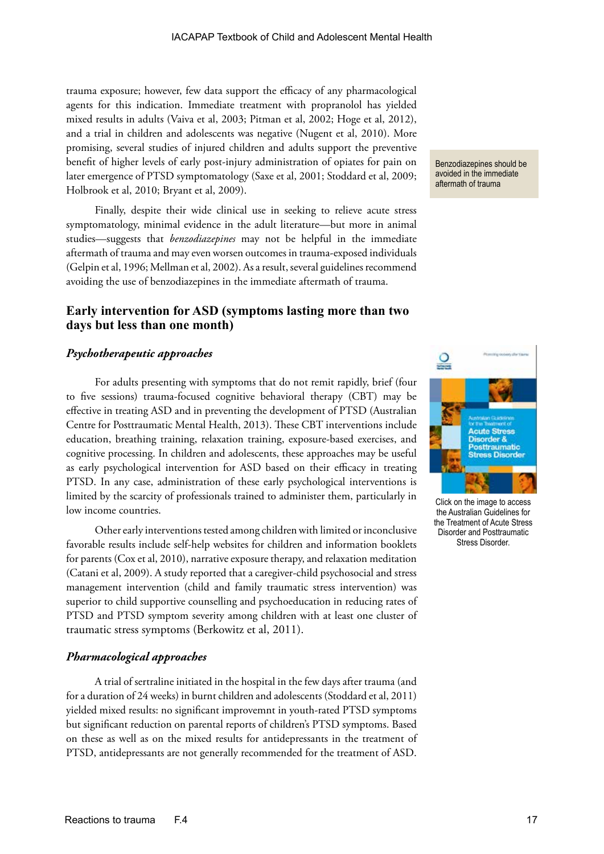trauma exposure; however, few data support the efficacy of any pharmacological agents for this indication. Immediate treatment with propranolol has yielded mixed results in adults (Vaiva et al, 2003; Pitman et al, 2002; Hoge et al, 2012), and a trial in children and adolescents was negative (Nugent et al, 2010). More promising, several studies of injured children and adults support the preventive benefit of higher levels of early post-injury administration of opiates for pain on later emergence of PTSD symptomatology (Saxe et al, 2001; Stoddard et al, 2009; Holbrook et al, 2010; Bryant et al, 2009).

Finally, despite their wide clinical use in seeking to relieve acute stress symptomatology, minimal evidence in the adult literature—but more in animal studies—suggests that *benzodiazepines* may not be helpful in the immediate aftermath of trauma and may even worsen outcomes in trauma-exposed individuals (Gelpin et al, 1996; Mellman et al, 2002). As a result, several guidelines recommend avoiding the use of benzodiazepines in the immediate aftermath of trauma.

## **Early intervention for ASD (symptoms lasting more than two days but less than one month)**

#### *Psychotherapeutic approaches*

For adults presenting with symptoms that do not remit rapidly, brief (four to five sessions) trauma-focused cognitive behavioral therapy (CBT) may be effective in treating ASD and in preventing the development of PTSD (Australian Centre for Posttraumatic Mental Health, 2013). These CBT interventions include education, breathing training, relaxation training, exposure-based exercises, and cognitive processing. In children and adolescents, these approaches may be useful as early psychological intervention for ASD based on their efficacy in treating PTSD. In any case, administration of these early psychological interventions is limited by the scarcity of professionals trained to administer them, particularly in low income countries.

Other early interventions tested among children with limited or inconclusive favorable results include self-help websites for children and information booklets for parents (Cox et al, 2010), narrative exposure therapy, and relaxation meditation (Catani et al, 2009). A study reported that a caregiver-child psychosocial and stress management intervention (child and family traumatic stress intervention) was superior to child supportive counselling and psychoeducation in reducing rates of PTSD and PTSD symptom severity among children with at least one cluster of traumatic stress symptoms (Berkowitz et al, 2011).

#### *Pharmacological approaches*

A trial of sertraline initiated in the hospital in the few days after trauma (and for a duration of 24 weeks) in burnt children and adolescents (Stoddard et al, 2011) yielded mixed results: no significant improvemnt in youth-rated PTSD symptoms but significant reduction on parental reports of children's PTSD symptoms. Based on these as well as on the mixed results for antidepressants in the treatment of PTSD, antidepressants are not generally recommended for the treatment of ASD.

Benzodiazepines should be avoided in the immediate aftermath of trauma



Click on the image to access the Australian Guidelines for the Treatment of Acute Stress Disorder and Posttraumatic Stress Disorder.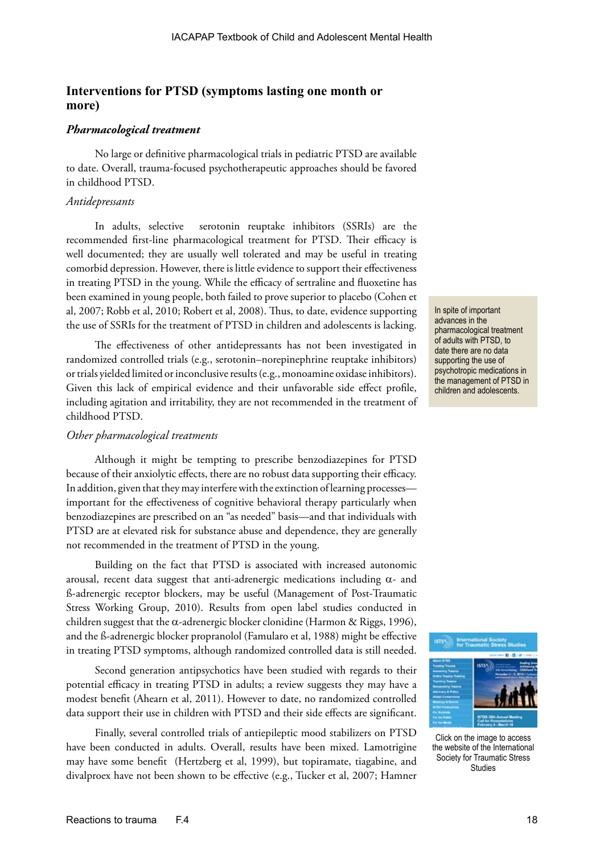## **Interventions for PTSD (symptoms lasting one month or more)**

## *Pharmacological treatment*

No large or definitive pharmacological trials in pediatric PTSD are available to date. Overall, trauma-focused psychotherapeutic approaches should be favored in childhood PTSD.

#### *Antidepressants*

In adults, selective serotonin reuptake inhibitors (SSRIs) are the recommended first-line pharmacological treatment for PTSD. Their efficacy is well documented; they are usually well tolerated and may be useful in treating comorbid depression. However, there is little evidence to support their effectiveness in treating PTSD in the young. While the efficacy of sertraline and fluoxetine has been examined in young people, both failed to prove superior to placebo (Cohen et al, 2007; Robb et al, 2010; Robert et al, 2008). Thus, to date, evidence supporting the use of SSRIs for the treatment of PTSD in children and adolescents is lacking.

The effectiveness of other antidepressants has not been investigated in randomized controlled trials (e.g., serotonin–norepinephrine reuptake inhibitors) or trials yielded limited or inconclusive results (e.g., monoamine oxidase inhibitors). Given this lack of empirical evidence and their unfavorable side effect profile, including agitation and irritability, they are not recommended in the treatment of childhood PTSD.

### *Other pharmacological treatments*

Although it might be tempting to prescribe benzodiazepines for PTSD because of their anxiolytic effects, there are no robust data supporting their efficacy. In addition, given that they may interfere with the extinction of learning processes important for the effectiveness of cognitive behavioral therapy particularly when benzodiazepines are prescribed on an "as needed" basis—and that individuals with PTSD are at elevated risk for substance abuse and dependence, they are generally not recommended in the treatment of PTSD in the young.

Building on the fact that PTSD is associated with increased autonomic arousal, recent data suggest that anti-adrenergic medications including  $\alpha$ - and ß-adrenergic receptor blockers, may be useful (Management of Post-Traumatic Stress Working Group, 2010). Results from open label studies conducted in children suggest that the  $\alpha$ -adrenergic blocker clonidine (Harmon & Riggs, 1996), and the ß-adrenergic blocker propranolol (Famularo et al, 1988) might be effective in treating PTSD symptoms, although randomized controlled data is still needed.

Second generation antipsychotics have been studied with regards to their potential efficacy in treating PTSD in adults; a review suggests they may have a modest benefit (Ahearn et al, 2011). However to date, no randomized controlled data support their use in children with PTSD and their side effects are significant.

Finally, several controlled trials of antiepileptic mood stabilizers on PTSD have been conducted in adults. Overall, results have been mixed. Lamotrigine may have some benefit (Hertzberg et al, 1999), but topiramate, tiagabine, and divalproex have not been shown to be effective (e.g., Tucker et al, 2007; Hamner

In spite of important advances in the pharmacological treatment of adults with PTSD, to date there are no data supporting the use of psychotropic medications in the management of PTSD in children and adolescents.



Click on the image to access the website of the International Society for Traumatic Stress Studies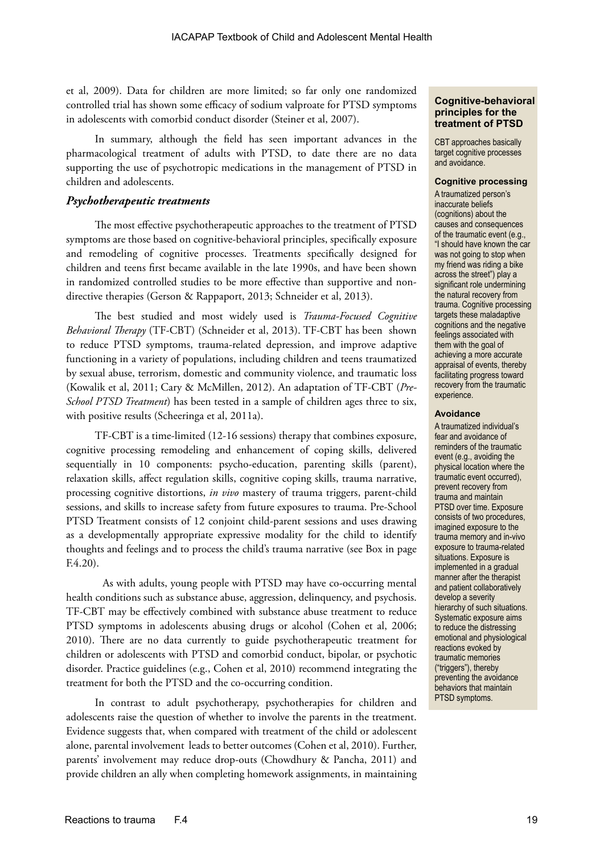et al, 2009). Data for children are more limited; so far only one randomized controlled trial has shown some efficacy of sodium valproate for PTSD symptoms in adolescents with comorbid conduct disorder (Steiner et al, 2007).

In summary, although the field has seen important advances in the pharmacological treatment of adults with PTSD, to date there are no data supporting the use of psychotropic medications in the management of PTSD in children and adolescents.

#### *Psychotherapeutic treatments*

The most effective psychotherapeutic approaches to the treatment of PTSD symptoms are those based on cognitive-behavioral principles, specifically exposure and remodeling of cognitive processes. Treatments specifically designed for children and teens first became available in the late 1990s, and have been shown in randomized controlled studies to be more effective than supportive and nondirective therapies (Gerson & Rappaport, 2013; Schneider et al, 2013).

The best studied and most widely used is *Trauma-Focused Cognitive Behavioral Therapy* (TF-CBT) (Schneider et al, 2013). TF-CBT has been shown to reduce PTSD symptoms, trauma-related depression, and improve adaptive functioning in a variety of populations, including children and teens traumatized by sexual abuse, terrorism, domestic and community violence, and traumatic loss (Kowalik et al, 2011; Cary & McMillen, 2012). An adaptation of TF-CBT (*Pre-School PTSD Treatment*) has been tested in a sample of children ages three to six, with positive results (Scheeringa et al, 2011a).

TF-CBT is a time-limited (12-16 sessions) therapy that combines exposure, cognitive processing remodeling and enhancement of coping skills, delivered sequentially in 10 components: psycho-education, parenting skills (parent), relaxation skills, affect regulation skills, cognitive coping skills, trauma narrative, processing cognitive distortions, *in vivo* mastery of trauma triggers, parent-child sessions, and skills to increase safety from future exposures to trauma. Pre-School PTSD Treatment consists of 12 conjoint child-parent sessions and uses drawing as a developmentally appropriate expressive modality for the child to identify thoughts and feelings and to process the child's trauma narrative (see Box in page F.4.20).

As with adults, young people with PTSD may have co-occurring mental health conditions such as substance abuse, aggression, delinquency, and psychosis. TF-CBT may be effectively combined with substance abuse treatment to reduce PTSD symptoms in adolescents abusing drugs or alcohol (Cohen et al, 2006; 2010). There are no data currently to guide psychotherapeutic treatment for children or adolescents with PTSD and comorbid conduct, bipolar, or psychotic disorder. Practice guidelines (e.g., Cohen et al, 2010) recommend integrating the treatment for both the PTSD and the co-occurring condition.

In contrast to adult psychotherapy, psychotherapies for children and adolescents raise the question of whether to involve the parents in the treatment. Evidence suggests that, when compared with treatment of the child or adolescent alone, parental involvement leads to better outcomes (Cohen et al, 2010). Further, parents' involvement may reduce drop-outs (Chowdhury & Pancha, 2011) and provide children an ally when completing homework assignments, in maintaining

#### **Cognitive-behavioral principles for the treatment of PTSD**

CBT approaches basically target cognitive processes and avoidance.

#### **Cognitive processing**

A traumatized person's inaccurate beliefs (cognitions) about the causes and consequences of the traumatic event (e.g., "I should have known the car was not going to stop when my friend was riding a bike across the street") play a significant role undermining the natural recovery from trauma. Cognitive processing targets these maladaptive cognitions and the negative feelings associated with them with the goal of achieving a more accurate appraisal of events, thereby facilitating progress toward recovery from the traumatic experience.

#### **Avoidance**

A traumatized individual's fear and avoidance of reminders of the traumatic event (e.g., avoiding the physical location where the traumatic event occurred), prevent recovery from trauma and maintain PTSD over time. Exposure consists of two procedures, imagined exposure to the trauma memory and in-vivo exposure to trauma-related situations. Exposure is implemented in a gradual manner after the therapist and patient collaboratively develop a severity hierarchy of such situations. Systematic exposure aims to reduce the distressing emotional and physiological reactions evoked by traumatic memories ("triggers"), thereby preventing the avoidance behaviors that maintain PTSD symptoms.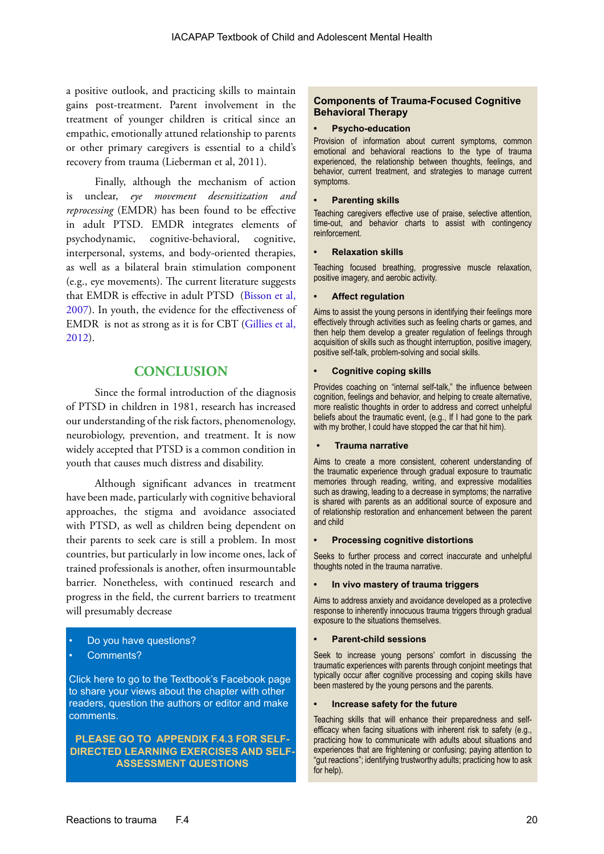a positive outlook, and practicing skills to maintain gains post-treatment. Parent involvement in the treatment of younger children is critical since an empathic, emotionally attuned relationship to parents or other primary caregivers is essential to a child's recovery from trauma (Lieberman et al, 2011).

Finally, although the mechanism of action is unclear, *eye movement desensitization and reprocessing* (EMDR) has been found to be effective in adult PTSD. EMDR integrates elements of psychodynamic, cognitive-behavioral, cognitive, interpersonal, systems, and body-oriented therapies, as well as a bilateral brain stimulation component (e.g., eye movements). The current literature suggests that EMDR is effective in adult PTSD [\(Bisson et al,](http://bjp.rcpsych.org/content/190/2/91.full)  [2007](http://bjp.rcpsych.org/content/190/2/91.full)). In youth, the evidence for the effectiveness of EMDR is not as strong as it is for CBT [\(Gillies et al,](http://onlinelibrary.wiley.com/doi/10.1002/ebch.1916/full)  [2012](http://onlinelibrary.wiley.com/doi/10.1002/ebch.1916/full)).

## **CONCLUSION**

Since the formal introduction of the diagnosis of PTSD in children in 1981, research has increased our understanding of the risk factors, phenomenology, neurobiology, prevention, and treatment. It is now widely accepted that PTSD is a common condition in youth that causes much distress and disability.

Although significant advances in treatment have been made, particularly with cognitive behavioral approaches, the stigma and avoidance associated with PTSD, as well as children being dependent on their parents to seek care is still a problem. In most countries, but particularly in low income ones, lack of trained professionals is another, often insurmountable barrier. Nonetheless, with continued research and progress in the field, the current barriers to treatment will presumably decrease

- Do you have questions?
- Comments?

Click here to go to the Textbook's Facebook page to share your views about the chapter with other readers, question the authors or editor and make comments.

**PLEASE GO TO APPENDIX F.4.3 FOR SELF-[DIRECTED LEARNING EXERCISES AND SELF-](https://www.facebook.com/pages/IACAPAP-Textbook-of-Child-and-Adolescent-Mental-Health/249690448525378)ASSESSMENT QUESTIONS**

#### **Components of Trauma-Focused Cognitive Behavioral Therapy**

#### **• Psycho-education**

Provision of information about current symptoms, common emotional and behavioral reactions to the type of trauma experienced, the relationship between thoughts, feelings, and behavior, current treatment, and strategies to manage current symptoms.

#### **• Parenting skills**

Teaching caregivers effective use of praise, selective attention, time-out, and behavior charts to assist with contingency reinforcement.

#### **• Relaxation skills**

Teaching focused breathing, progressive muscle relaxation, positive imagery, and aerobic activity.

#### **• Affect regulation**

Aims to assist the young persons in identifying their feelings more effectively through activities such as feeling charts or games, and then help them develop a greater regulation of feelings through acquisition of skills such as thought interruption, positive imagery, positive self-talk, problem-solving and social skills.

#### **• Cognitive coping skills**

Provides coaching on "internal self-talk," the influence between cognition, feelings and behavior, and helping to create alternative, more realistic thoughts in order to address and correct unhelpful beliefs about the traumatic event, (e.g., If I had gone to the park with my brother, I could have stopped the car that hit him).

#### **• Trauma narrative**

Aims to create a more consistent, coherent understanding of the traumatic experience through gradual exposure to traumatic memories through reading, writing, and expressive modalities such as drawing, leading to a decrease in symptoms; the narrative is shared with parents as an additional source of exposure and of relationship restoration and enhancement between the parent and child

#### **• Processing cognitive distortions**

Seeks to further process and correct inaccurate and unhelpful thoughts noted in the trauma narrative.

#### **• In vivo mastery of trauma triggers**

Aims to address anxiety and avoidance developed as a protective response to inherently innocuous trauma triggers through gradual exposure to the situations themselves.

#### **• Parent-child sessions**

Seek to increase young persons' comfort in discussing the traumatic experiences with parents through conjoint meetings that typically occur after cognitive processing and coping skills have been mastered by the young persons and the parents.

#### **• Increase safety for the future**

Teaching skills that will enhance their preparedness and selfefficacy when facing situations with inherent risk to safety (e.g., practicing how to communicate with adults about situations and experiences that are frightening or confusing; paying attention to "gut reactions"; identifying trustworthy adults; practicing how to ask for help).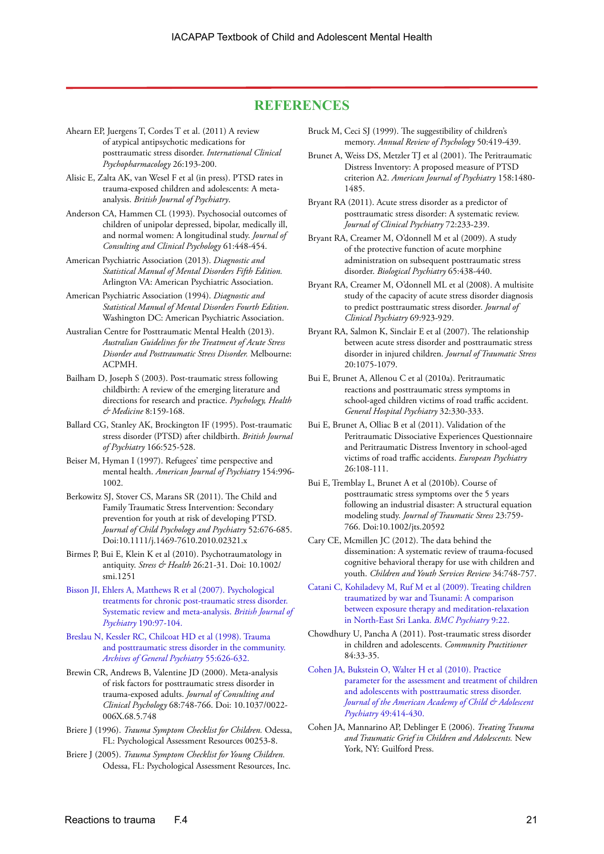## **REFERENCES**

Ahearn EP, Juergens T, Cordes T et al. (2011) A review of atypical antipsychotic medications for posttraumatic stress disorder. *International Clinical Psychopharmacology* 26:193-200.

Alisic E, Zalta AK, van Wesel F et al (in press). PTSD rates in trauma-exposed children and adolescents: A metaanalysis. *British Journal of Psychiatry*.

Anderson CA, Hammen CL (1993). Psychosocial outcomes of children of unipolar depressed, bipolar, medically ill, and normal women: A longitudinal study. *Journal of Consulting and Clinical Psychology* 61:448-454.

American Psychiatric Association (2013). *Diagnostic and Statistical Manual of Mental Disorders Fifth Edition.*  Arlington VA: American Psychiatric Association.

American Psychiatric Association (1994). *Diagnostic and Statistical Manual of Mental Disorders Fourth Edition*. Washington DC: American Psychiatric Association.

- Australian Centre for Posttraumatic Mental Health (2013). *Australian Guidelines for the Treatment of Acute Stress Disorder and Posttraumatic Stress Disorder.* Melbourne: ACPMH.
- Bailham D, Joseph S (2003). Post-traumatic stress following childbirth: A review of the emerging literature and directions for research and practice. *Psychology, Health & Medicine* 8:159-168.
- Ballard CG, Stanley AK, Brockington IF (1995). Post-traumatic stress disorder (PTSD) after childbirth. *British Journal of Psychiatry* 166:525-528.
- Beiser M, Hyman I (1997). Refugees' time perspective and mental health. *American Journal of Psychiatry* 154:996- 1002.
- Berkowitz SJ, Stover CS, Marans SR (2011). The Child and Family Traumatic Stress Intervention: Secondary prevention for youth at risk of developing PTSD. *Journal of Child Psychology and Psychiatry* 52:676-685. Doi:10.1111/j.1469-7610.2010.02321.x
- Birmes P, Bui E, Klein K et al (2010). Psychotraumatology in antiquity. *Stress & Health* 26:21-31. Doi: 10.1002/ smi.1251

[Bisson JI, Ehlers A, Matthews R et al \(2007\). Psychological](http://bjp.rcpsych.org/content/190/2/91.full)  [treatments for chronic post-traumatic stress disorder.](http://bjp.rcpsych.org/content/190/2/91.full)  [Systematic review and meta-analysis.](http://bjp.rcpsych.org/content/190/2/91.full) *British Journal of Psychiatry* [190:97-104.](http://bjp.rcpsych.org/content/190/2/91.full)

[Breslau N, Kessler RC, Chilcoat HD et al \(1998\). Trauma](http://archpsych.jamanetwork.com/article.aspx?articleid=204066)  [and posttraumatic stress disorder in the community.](http://archpsych.jamanetwork.com/article.aspx?articleid=204066)  *[Archives of General Psychiatry](http://archpsych.jamanetwork.com/article.aspx?articleid=204066)* 55:626-632.

Brewin CR, Andrews B, Valentine JD (2000). Meta-analysis of risk factors for posttraumatic stress disorder in trauma-exposed adults. *Journal of Consulting and Clinical Psychology* 68:748-766. Doi: 10.1037/0022- 006X.68.5.748

Briere J (1996). *Trauma Symptom Checklist for Children.* Odessa, FL: Psychological Assessment Resources 00253-8.

Briere J (2005). *Trauma Symptom Checklist for Young Children.* Odessa, FL: Psychological Assessment Resources, Inc. Bruck M, Ceci SJ (1999). The suggestibility of children's memory. *Annual Review of Psychology* 50:419-439.

Brunet A, Weiss DS, Metzler TJ et al (2001). The Peritraumatic Distress Inventory: A proposed measure of PTSD criterion A2. *American Journal of Psychiatry* 158:1480- 1485.

Bryant RA (2011). Acute stress disorder as a predictor of posttraumatic stress disorder: A systematic review. *Journal of Clinical Psychiatry* 72:233-239.

Bryant RA, Creamer M, O'donnell M et al (2009). A study of the protective function of acute morphine administration on subsequent posttraumatic stress disorder. *Biological Psychiatry* 65:438-440.

Bryant RA, Creamer M, O'donnell ML et al (2008). A multisite study of the capacity of acute stress disorder diagnosis to predict posttraumatic stress disorder. *Journal of Clinical Psychiatry* 69:923-929.

Bryant RA, Salmon K, Sinclair E et al (2007). The relationship between acute stress disorder and posttraumatic stress disorder in injured children. *Journal of Traumatic Stress*  20:1075-1079.

Bui E, Brunet A, Allenou C et al (2010a). Peritraumatic reactions and posttraumatic stress symptoms in school-aged children victims of road traffic accident. *General Hospital Psychiatry* 32:330-333.

Bui E, Brunet A, Olliac B et al (2011). Validation of the Peritraumatic Dissociative Experiences Questionnaire and Peritraumatic Distress Inventory in school-aged victims of road traffic accidents. *European Psychiatry*  26:108-111.

Bui E, Tremblay L, Brunet A et al (2010b). Course of posttraumatic stress symptoms over the 5 years following an industrial disaster: A structural equation modeling study. *Journal of Traumatic Stress* 23:759- 766. Doi:10.1002/jts.20592

Cary CE, Mcmillen JC (2012). The data behind the dissemination: A systematic review of trauma-focused cognitive behavioral therapy for use with children and youth. *Children and Youth Services Review* 34:748-757.

[Catani C, Kohiladevy M, Ruf M et al \(2009\). Treating children](http://www.biomedcentral.com/1471-244X/9/22)  [traumatized by war and Tsunami: A comparison](http://www.biomedcentral.com/1471-244X/9/22)  [between exposure therapy and meditation-relaxation](http://www.biomedcentral.com/1471-244X/9/22)  [in North-East Sri Lanka.](http://www.biomedcentral.com/1471-244X/9/22) *BMC Psychiatry* 9:22.

Chowdhury U, Pancha A (2011). Post-traumatic stress disorder in children and adolescents. *Community Practitioner* 84:33-35.

[Cohen JA, Bukstein O, Walter H et al \(2010\). Practice](http://www.sciencedirect.com/science/article/pii/S0890856710000821)  [parameter for the assessment and treatment of children](http://www.sciencedirect.com/science/article/pii/S0890856710000821) [and adolescents with posttraumatic stress disorder.](http://www.sciencedirect.com/science/article/pii/S0890856710000821)  *[Journal of the American Academy of Child & Adolescent](http://www.sciencedirect.com/science/article/pii/S0890856710000821)  Psychiatry* [49:414-430.](http://www.sciencedirect.com/science/article/pii/S0890856710000821)

Cohen JA, Mannarino AP, Deblinger E (2006). *Treating Trauma and Traumatic Grief in Children and Adolescents.* New York, NY: Guilford Press.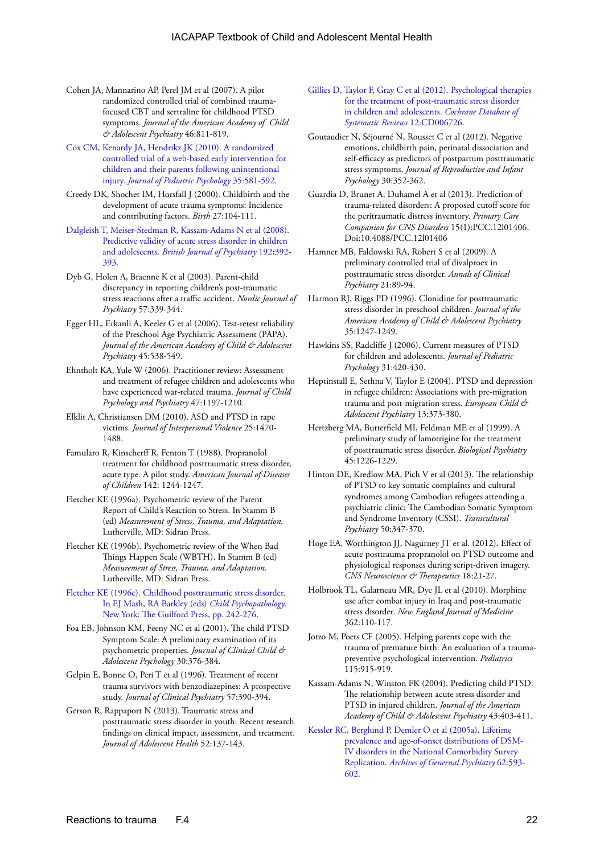- Cohen JA, Mannarino AP, Perel JM et al (2007). A pilot randomized controlled trial of combined traumafocused CBT and sertraline for childhood PTSD symptoms. *Journal of the American Academy of Child & Adolescent Psychiatry* 46:811-819.
- [Cox CM, Kenardy JA, Hendrikz JK \(2010\). A randomized](http://jpepsy.oxfordjournals.org/content/35/6/581.full)  [controlled trial of a web-based early intervention for](http://jpepsy.oxfordjournals.org/content/35/6/581.full)  [children and their parents following unintentional](http://jpepsy.oxfordjournals.org/content/35/6/581.full)  injury. *[Journal of Pediatric Psychology](http://jpepsy.oxfordjournals.org/content/35/6/581.full)* 35:581-592.
- Creedy DK, Shochet IM, Horsfall J (2000). Childbirth and the development of acute trauma symptoms: Incidence and contributing factors. *Birth* 27:104-111.
- [Dalgleish T, Meiser-Stedman R, Kassam-Adams N et al \(2008\).](http://bjp.rcpsych.org/content/192/5/392.full.pdf+html)  [Predictive validity of acute stress disorder in children](http://bjp.rcpsych.org/content/192/5/392.full.pdf+html)  and adolescents. *[British Journal of Psychiatry](http://bjp.rcpsych.org/content/192/5/392.full.pdf+html)* 192**:**392- [393.](http://bjp.rcpsych.org/content/192/5/392.full.pdf+html)
- Dyb G, Holen A, Braenne K et al (2003). Parent-child discrepancy in reporting children's post-traumatic stress reactions after a traffic accident. *Nordic Journal of Psychiatry* 57:339-344.
- Egger HL, Erkanli A, Keeler G et al (2006). Test-retest reliability of the Preschool Age Psychiatric Assessment (PAPA). *Journal of the American Academy of Child & Adolescent Psychiatry* 45:538-549.
- Ehntholt KA, Yule W (2006). Practitioner review: Assessment and treatment of refugee children and adolescents who have experienced war-related trauma. *Journal of Child Psychology and Psychiatry* 47:1197-1210.
- Elklit A, Christiansen DM (2010). ASD and PTSD in rape victims. *Journal of Interpersonal Violence* 25:1470- 1488.
- Famularo R, Kinscherff R, Fenton T (1988). Propranolol treatment for childhood posttraumatic stress disorder, acute type. A pilot study. *American Journal of Diseases of Children* 142: 1244-1247.
- Fletcher KE (1996a). Psychometric review of the Parent Report of Child's Reaction to Stress. In Stamm B (ed) *Measurement of Stress, Trauma, and Adaptation.* Lutherville, MD: Sidran Press.
- Fletcher KE (1996b). Psychometric review of the When Bad Things Happen Scale (WBTH). In Stamm B (ed) *Measurement of Stress, Trauma, and Adaptation.* Lutherville, MD: Sidran Press.
- [Fletcher KE \(1996c\). Childhood posttraumatic stress disorder.](http://books.google.com.au/books?hl=en&lr=&id=uoKsJUd-73gC&oi=fnd&pg=PA330&dq=Fletcher,+K.+E.+(1996)+Child+psychopathology&ots=Lifhl1Byyy&sig=uURDK1xaK6ZGvwMPaCphA4_jUiQ#v=onepage&q=Fletcher%2C%20K.%20E.%20(1996)%20Child%20psychopathology&f=false)  [In EJ Mash, RA Barkley \(eds\)](http://books.google.com.au/books?hl=en&lr=&id=uoKsJUd-73gC&oi=fnd&pg=PA330&dq=Fletcher,+K.+E.+(1996)+Child+psychopathology&ots=Lifhl1Byyy&sig=uURDK1xaK6ZGvwMPaCphA4_jUiQ#v=onepage&q=Fletcher%2C%20K.%20E.%20(1996)%20Child%20psychopathology&f=false) *Child Psychopathology*. [New York: The Guilford Press, pp. 242-276.](http://books.google.com.au/books?hl=en&lr=&id=uoKsJUd-73gC&oi=fnd&pg=PA330&dq=Fletcher,+K.+E.+(1996)+Child+psychopathology&ots=Lifhl1Byyy&sig=uURDK1xaK6ZGvwMPaCphA4_jUiQ#v=onepage&q=Fletcher%2C%20K.%20E.%20(1996)%20Child%20psychopathology&f=false)
- Foa EB, Johnson KM, Feeny NC et al (2001). The child PTSD Symptom Scale: A preliminary examination of its psychometric properties. *Journal of Clinical Child & Adolescent Psychology* 30:376-384.
- Gelpin E, Bonne O, Peri T et al (1996). Treatment of recent trauma survivors with benzodiazepines: A prospective study. *Journal of Clinical Psychiatry* 57:390-394.
- Gerson R, Rappaport N (2013). Traumatic stress and posttraumatic stress disorder in youth: Recent research findings on clinical impact, assessment, and treatment. *Journal of Adolescent Health* 52:137-143.
- [Gillies D, Taylor F, Gray C et al \(2012\). Psychological therapies](http://onlinelibrary.wiley.com/doi/10.1002/ebch.1916/full)  [for the treatment of post-traumatic stress disorder](http://onlinelibrary.wiley.com/doi/10.1002/ebch.1916/full)  [in children and adolescents.](http://onlinelibrary.wiley.com/doi/10.1002/ebch.1916/full) *Cochrane Database of [Systematic Reviews](http://onlinelibrary.wiley.com/doi/10.1002/ebch.1916/full)* 12:CD006726.
- Goutaudier N, Séjourné N, Rousset C et al (2012). Negative emotions, childbirth pain, perinatal dissociation and self-efficacy as predictors of postpartum posttraumatic stress symptoms. *Journal of Reproductive and Infant Psychology* 30:352-362.
- Guardia D, Brunet A, Duhamel A et al (2013). Prediction of trauma-related disorders: A proposed cutoff score for the peritraumatic distress inventory. *Primary Care Companion for CNS Disorders* 15(1):PCC.12l01406. Doi:10.4088/PCC.12l01406
- Hamner MB, Faldowski RA, Robert S et al (2009). A preliminary controlled trial of divalproex in posttraumatic stress disorder. *Annals of Clinical Psychiatry* 21:89-94.
- Harmon RJ, Riggs PD (1996). Clonidine for posttraumatic stress disorder in preschool children. *Journal of the American Academy of Child & Adolescent Psychiatry*  35:1247-1249.
- Hawkins SS, Radcliffe J (2006). Current measures of PTSD for children and adolescents. *Journal of Pediatric Psychology* 31:420-430.
- Heptinstall E, Sethna V, Taylor E (2004). PTSD and depression in refugee children: Associations with pre-migration trauma and post-migration stress. *European Child & Adolescent Psychiatry* 13:373-380.
- Hertzberg MA, Butterfield MI, Feldman ME et al (1999). A preliminary study of lamotrigine for the treatment of posttraumatic stress disorder. *Biological Psychiatry*  45:1226-1229.
- Hinton DE, Kredlow MA, Pich V et al (2013). The relationship of PTSD to key somatic complaints and cultural syndromes among Cambodian refugees attending a psychiatric clinic: The Cambodian Somatic Symptom and Syndrome Inventory (CSSI). *Transcultural Psychiatry* 50:347-370.
- Hoge EA, Worthington JJ, Nagurney JT et al. (2012). Effect of acute posttrauma propranolol on PTSD outcome and physiological responses during script-driven imagery. *CNS Neuroscience & Therapeutics* 18:21-27.
- Holbrook TL, Galarneau MR, Dye JL et al (2010). Morphine use after combat injury in Iraq and post-traumatic stress disorder. *New England Journal of Medicine*  362:110-117.
- Jotzo M, Poets CF (2005). Helping parents cope with the trauma of premature birth: An evaluation of a traumapreventive psychological intervention. *Pediatrics* 115:915-919.
- Kassam-Adams N, Winston FK (2004). Predicting child PTSD: The relationship between acute stress disorder and PTSD in injured children. *Journal of the American Academy of Child & Adolescent Psychiatry* 43:403-411.
- [Kessler RC, Berglund P, Demler O et al \(2005a\). Lifetime](http://archpsyc.jamanetwork.com/article.aspx?articleid=208678)  [prevalence and age-of-onset distributions of DSM-](http://archpsyc.jamanetwork.com/article.aspx?articleid=208678)[IV disorders in the National Comorbidity Survey](http://archpsyc.jamanetwork.com/article.aspx?articleid=208678)  Replication. *[Archives of Genernal Psychiatry](http://archpsyc.jamanetwork.com/article.aspx?articleid=208678)* 62:593- [602.](http://archpsyc.jamanetwork.com/article.aspx?articleid=208678)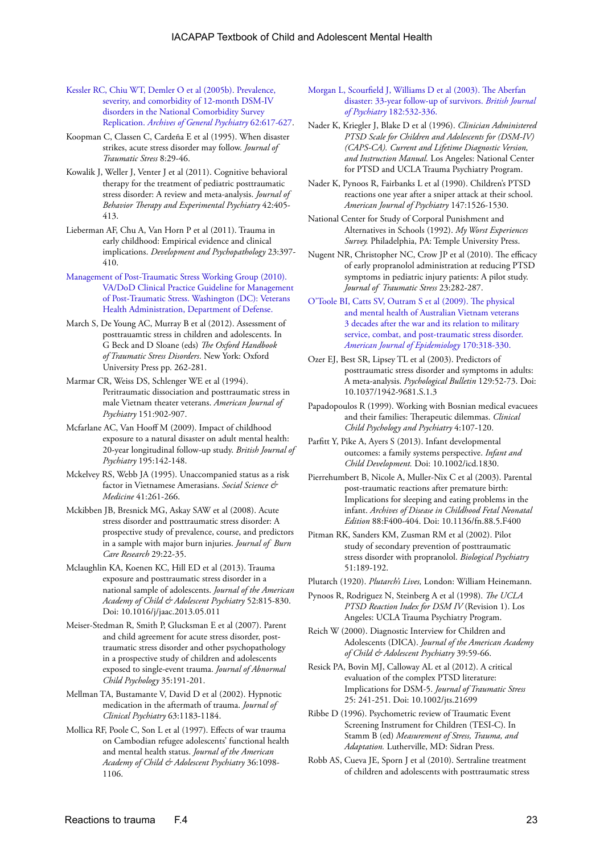- [Kessler RC, Chiu WT, Demler O et al \(2005b\). Prevalence,](http://archpsyc.jamanetwork.com/article.aspx?articleid=208671)  [severity, and comorbidity of 12-month DSM-IV](http://archpsyc.jamanetwork.com/article.aspx?articleid=208671)  [disorders in the National Comorbidity Survey](http://archpsyc.jamanetwork.com/article.aspx?articleid=208671)  Replication. *[Archives of General Psychiatry](http://archpsyc.jamanetwork.com/article.aspx?articleid=208671)* 62:617-627.
- Koopman C, Classen C, Cardeña E et al (1995). When disaster strikes, acute stress disorder may follow. *Journal of Traumatic Stress* 8:29-46.
- Kowalik J, Weller J, Venter J et al (2011). Cognitive behavioral therapy for the treatment of pediatric posttraumatic stress disorder: A review and meta-analysis. *Journal of Behavior Therapy and Experimental Psychiatry* 42:405- 413.
- Lieberman AF, Chu A, Van Horn P et al (2011). Trauma in early childhood: Empirical evidence and clinical implications. *Development and Psychopathology* 23:397- 410.
- [Management of Post-Traumatic Stress Working Group \(2010\).](http://www.guideline.gov/content.aspx?id=25628)  [VA/DoD Clinical Practice Guideline for Management](http://www.guideline.gov/content.aspx?id=25628)  [of Post-Traumatic Stress. Washington \(DC\): Veterans](http://www.guideline.gov/content.aspx?id=25628)  [Health Administration, Department of Defense.](http://www.guideline.gov/content.aspx?id=25628)
- March S, De Young AC, Murray B et al (2012). Assessment of posttrauamtic stress in children and adolescents. In G Beck and D Sloane (eds) *The Oxford Handbook of Traumatic Stress Disorders*. New York: Oxford University Press pp. 262-281.
- Marmar CR, Weiss DS, Schlenger WE et al (1994). Peritraumatic dissociation and posttraumatic stress in male Vietnam theater veterans. *American Journal of Psychiatry* 151:902-907.
- Mcfarlane AC, Van Hooff M (2009). Impact of childhood exposure to a natural disaster on adult mental health: 20-year longitudinal follow-up study. *British Journal of Psychiatry* 195:142-148.
- Mckelvey RS, Webb JA (1995). Unaccompanied status as a risk factor in Vietnamese Amerasians. *Social Science & Medicine* 41:261-266.
- Mckibben JB, Bresnick MG, Askay SAW et al (2008). Acute stress disorder and posttraumatic stress disorder: A prospective study of prevalence, course, and predictors in a sample with major burn injuries. *Journal of Burn Care Research* 29:22-35.
- Mclaughlin KA, Koenen KC, Hill ED et al (2013). Trauma exposure and posttraumatic stress disorder in a national sample of adolescents. *Journal of the American Academy of Child & Adolescent Psychiatry* 52:815-830. Doi: 10.1016/j/jaac.2013.05.011
- Meiser-Stedman R, Smith P, Glucksman E et al (2007). Parent and child agreement for acute stress disorder, posttraumatic stress disorder and other psychopathology in a prospective study of children and adolescents exposed to single-event trauma. *Journal of Abnormal Child Psychology* 35:191-201.
- Mellman TA, Bustamante V, David D et al (2002). Hypnotic medication in the aftermath of trauma. *Journal of Clinical Psychiatry* 63:1183-1184.
- Mollica RF, Poole C, Son L et al (1997). Effects of war trauma on Cambodian refugee adolescents' functional health and mental health status. *Journal of the American Academy of Child & Adolescent Psychiatry* 36:1098- 1106.
- [Morgan L, Scourfield J, Williams D et al \(2003\). The Aberfan](http://bjp.rcpsych.org/content/182/6/532/full)  [disaster: 33-year follow-up of survivors.](http://bjp.rcpsych.org/content/182/6/532/full) *British Journal of Psychiatry* [182:532-336.](http://bjp.rcpsych.org/content/182/6/532/full)
- Nader K, Kriegler J, Blake D et al (1996). *Clinician Administered PTSD Scale for Children and Adolescents for (DSM-IV) (CAPS-CA). Current and Lifetime Diagnostic Version, and Instruction Manual.* Los Angeles: National Center for PTSD and UCLA Trauma Psychiatry Program.
- Nader K, Pynoos R, Fairbanks L et al (1990). Children's PTSD reactions one year after a sniper attack at their school. *American Journal of Psychiatry* 147:1526-1530.
- National Center for Study of Corporal Punishment and Alternatives in Schools (1992). *My Worst Experiences Survey.* Philadelphia, PA: Temple University Press.
- Nugent NR, Christopher NC, Crow JP et al (2010). The efficacy of early propranolol administration at reducing PTSD symptoms in pediatric injury patients: A pilot study. *Journal of Traumatic Stress* 23:282-287.
- [O'Toole BI, Catts SV, Outram S et al \(2009\). The physical](http://aje.oxfordjournals.org/content/170/3/318.full)  [and mental health of Australian Vietnam veterans](http://aje.oxfordjournals.org/content/170/3/318.full)  [3 decades after the war and its relation to military](http://aje.oxfordjournals.org/content/170/3/318.full)  [service, combat, and post-traumatic stress disorder.](http://aje.oxfordjournals.org/content/170/3/318.full) *[American Journal of Epidemiology](http://aje.oxfordjournals.org/content/170/3/318.full)* 170:318-330.
- Ozer EJ, Best SR, Lipsey TL et al (2003). Predictors of posttraumatic stress disorder and symptoms in adults: A meta-analysis. *Psychological Bulletin* 129:52-73. Doi: 10.1037/1942-9681.S.1.3
- Papadopoulos R (1999). Working with Bosnian medical evacuees and their families: Therapeutic dilemmas. *Clinical Child Psychology and Psychiatry* 4:107-120.
- Parfitt Y, Pike A, Ayers S (2013). Infant developmental outcomes: a family systems perspective. *Infant and Child Development.* Doi: 10.1002/icd.1830.
- Pierrehumbert B, Nicole A, Muller-Nix C et al (2003). Parental post-traumatic reactions after premature birth: Implications for sleeping and eating problems in the infant. *Archives of Disease in Childhood Fetal Neonatal Edition* 88:F400-404. Doi: 10.1136/fn.88.5.F400
- Pitman RK, Sanders KM, Zusman RM et al (2002). Pilot study of secondary prevention of posttraumatic stress disorder with propranolol. *Biological Psychiatry* 51:189-192.
- Plutarch (1920). *Plutarch's Lives,* London: William Heinemann.
- Pynoos R, Rodriguez N, Steinberg A et al (1998). *The UCLA PTSD Reaction Index for DSM IV* (Revision 1). Los Angeles: UCLA Trauma Psychiatry Program.
- Reich W (2000). Diagnostic Interview for Children and Adolescents (DICA). *Journal of the American Academy of Child & Adolescent Psychiatry* 39:59-66.
- Resick PA, Bovin MJ, Calloway AL et al (2012). A critical evaluation of the complex PTSD literature: Implications for DSM-5. *Journal of Traumatic Stress* 25: 241-251. Doi: 10.1002/jts.21699
- Ribbe D (1996). Psychometric review of Traumatic Event Screening Instrument for Children (TESI-C). In Stamm B (ed) *Measurement of Stress, Trauma, and Adaptation.* Lutherville, MD: Sidran Press.
- Robb AS, Cueva JE, Sporn J et al (2010). Sertraline treatment of children and adolescents with posttraumatic stress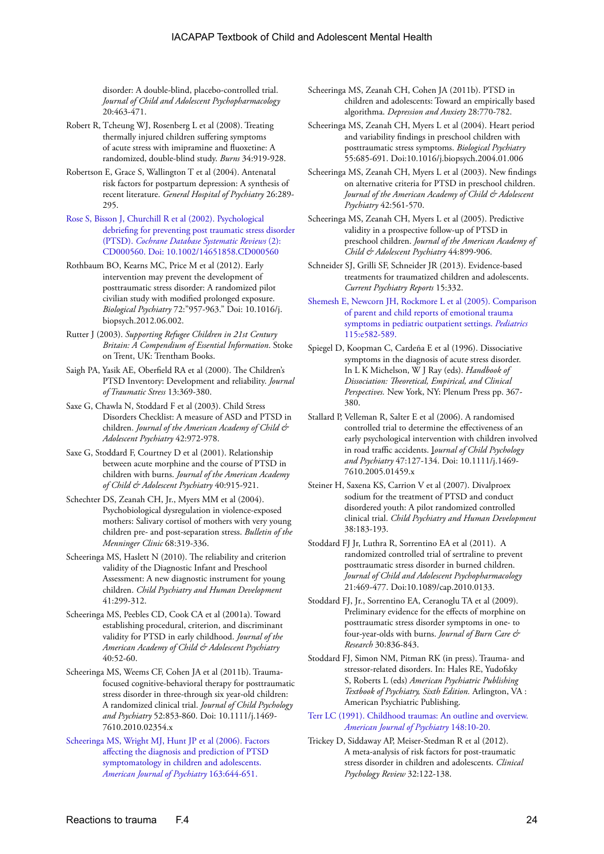disorder: A double-blind, placebo-controlled trial. *Journal of Child and Adolescent Psychopharmacology* 20:463-471.

- Robert R, Tcheung WJ, Rosenberg L et al (2008). Treating thermally injured children suffering symptoms of acute stress with imipramine and fluoxetine: A randomized, double-blind study. *Burns* 34:919-928.
- Robertson E, Grace S, Wallington T et al (2004). Antenatal risk factors for postpartum depression: A synthesis of recent literature. *General Hospital of Psychiatry* 26:289- 295.
- [Rose S, Bisson J, Churchill R et al \(2002\). Psychological](http://onlinelibrary.wiley.com/doi/10.1002/14651858.CD000560/pdf/standard)  [debriefing for preventing post traumatic stress disorder](http://onlinelibrary.wiley.com/doi/10.1002/14651858.CD000560/pdf/standard)  (PTSD). *[Cochrane Database Systematic Reviews](http://onlinelibrary.wiley.com/doi/10.1002/14651858.CD000560/pdf/standard)* (2): [CD000560. Doi: 10.1002/14651858.CD000560](http://onlinelibrary.wiley.com/doi/10.1002/14651858.CD000560/pdf/standard)
- Rothbaum BO, Kearns MC, Price M et al (2012). Early intervention may prevent the development of posttraumatic stress disorder: A randomized pilot civilian study with modified prolonged exposure. *Biological Psychiatry* 72:"957-963." Doi: 10.1016/j. biopsych.2012.06.002.
- Rutter J (2003). *Supporting Refugee Children in 21st Century Britain: A Compendium of Essential Information*. Stoke on Trent, UK: Trentham Books.
- Saigh PA, Yasik AE, Oberfield RA et al (2000). The Children's PTSD Inventory: Development and reliability. *Journal of Traumatic Stress* 13:369-380.
- Saxe G, Chawla N, Stoddard F et al (2003). Child Stress Disorders Checklist: A measure of ASD and PTSD in children. *Journal of the American Academy of Child & Adolescent Psychiatry* 42:972-978.
- Saxe G, Stoddard F, Courtney D et al (2001). Relationship between acute morphine and the course of PTSD in children with burns. *Journal of the American Academy of Child & Adolescent Psychiatry* 40:915-921.
- Schechter DS, Zeanah CH, Jr., Myers MM et al (2004). Psychobiological dysregulation in violence-exposed mothers: Salivary cortisol of mothers with very young children pre- and post-separation stress. *Bulletin of the Menninger Clinic* 68:319-336.
- Scheeringa MS, Haslett N (2010). The reliability and criterion validity of the Diagnostic Infant and Preschool Assessment: A new diagnostic instrument for young children. *Child Psychiatry and Human Development* 41:299-312.
- Scheeringa MS, Peebles CD, Cook CA et al (2001a). Toward establishing procedural, criterion, and discriminant validity for PTSD in early childhood. *Journal of the American Academy of Child & Adolescent Psychiatry* 40:52-60.
- Scheeringa MS, Weems CF, Cohen JA et al (2011b). Traumafocused cognitive-behavioral therapy for posttraumatic stress disorder in three-through six year-old children: A randomized clinical trial. *Journal of Child Psychology and Psychiatry* 52:853-860. Doi: 10.1111/j.1469- 7610.2010.02354.x
- [Scheeringa MS, Wright MJ, Hunt JP et al \(2006\). Factors](http://ajp.psychiatryonline.org/article.aspx?articleID=96515)  [affecting the diagnosis and prediction of PTSD](http://ajp.psychiatryonline.org/article.aspx?articleID=96515)  [symptomatology in children and adolescents.](http://ajp.psychiatryonline.org/article.aspx?articleID=96515)  *[American Journal of Psychiatry](http://ajp.psychiatryonline.org/article.aspx?articleID=96515)* 163:644-651.

Scheeringa MS, Zeanah CH, Cohen JA (2011b). PTSD in children and adolescents: Toward an empirically based algorithma. *Depression and Anxiety* 28:770-782.

Scheeringa MS, Zeanah CH, Myers L et al (2004). Heart period and variability findings in preschool children with posttraumatic stress symptoms. *Biological Psychiatry* 55:685-691. Doi:10.1016/j.biopsych.2004.01.006

Scheeringa MS, Zeanah CH, Myers L et al (2003). New findings on alternative criteria for PTSD in preschool children. *Journal of the American Academy of Child & Adolescent Psychiatry* 42:561-570.

Scheeringa MS, Zeanah CH, Myers L et al (2005). Predictive validity in a prospective follow-up of PTSD in preschool children. *Journal of the American Academy of Child & Adolescent Psychiatry* 44:899-906.

Schneider SJ, Grilli SF, Schneider JR (2013). Evidence-based treatments for traumatized children and adolescents. *Current Psychiatry Reports* 15:332.

[Shemesh E, Newcorn JH, Rockmore L et al \(2005\). Comparison](http://pediatrics.aappublicatins.org/content/115/5/e582.full)  [of parent and child reports of emotional trauma](http://pediatrics.aappublicatins.org/content/115/5/e582.full)  [symptoms in pediatric outpatient settings.](http://pediatrics.aappublicatins.org/content/115/5/e582.full) *Pediatrics* [115:e582-589.](http://pediatrics.aappublicatins.org/content/115/5/e582.full)

- Spiegel D, Koopman C, Cardeña E et al (1996). Dissociative symptoms in the diagnosis of acute stress disorder. In L K Michelson, W J Ray (eds). *Handbook of Dissociation: Theoretical, Empirical, and Clinical Perspectives.* New York, NY: Plenum Press pp. 367- 380.
- Stallard P, Velleman R, Salter E et al (2006). A randomised controlled trial to determine the effectiveness of an early psychological intervention with children involved in road traffic accidents. J*ournal of Child Psychology and Psychiatry* 47:127-134. Doi: 10.1111/j.1469- 7610.2005.01459.x

Steiner H, Saxena KS, Carrion V et al (2007). Divalproex sodium for the treatment of PTSD and conduct disordered youth: A pilot randomized controlled clinical trial. *Child Psychiatry and Human Development* 38:183-193.

- Stoddard FJ Jr, Luthra R, Sorrentino EA et al (2011). A randomized controlled trial of sertraline to prevent posttraumatic stress disorder in burned children. *Journal of Child and Adolescent Psychopharmacology*  21:469-477. Doi:10.1089/cap.2010.0133.
- Stoddard FJ, Jr., Sorrentino EA, Ceranoglu TA et al (2009). Preliminary evidence for the effects of morphine on posttraumatic stress disorder symptoms in one- to four-year-olds with burns. *Journal of Burn Care & Research* 30:836-843.
- Stoddard FJ, Simon NM, Pitman RK (in press). Trauma- and stressor-related disorders. In: Hales RE, Yudofsky S, Roberts L (eds) *American Psychiatric Publishing Textbook of Psychiatry, Sixth Edition.* Arlington, VA : American Psychiatric Publishing.

[Terr LC \(1991\). Childhood traumas: An outline and overview.](http://homepage.psy.utexas.edu/HomePage/Class/Psy394U/Bower/03%20Emot,%20Trauma,Mem/Terr-Childhood%20Traumas.pdf)  *[American Journal of Psychiatry](http://homepage.psy.utexas.edu/HomePage/Class/Psy394U/Bower/03%20Emot,%20Trauma,Mem/Terr-Childhood%20Traumas.pdf)* 148:10-20.

Trickey D, Siddaway AP, Meiser-Stedman R et al (2012). A meta-analysis of risk factors for post-traumatic stress disorder in children and adolescents. *Clinical Psychology Review* 32:122-138.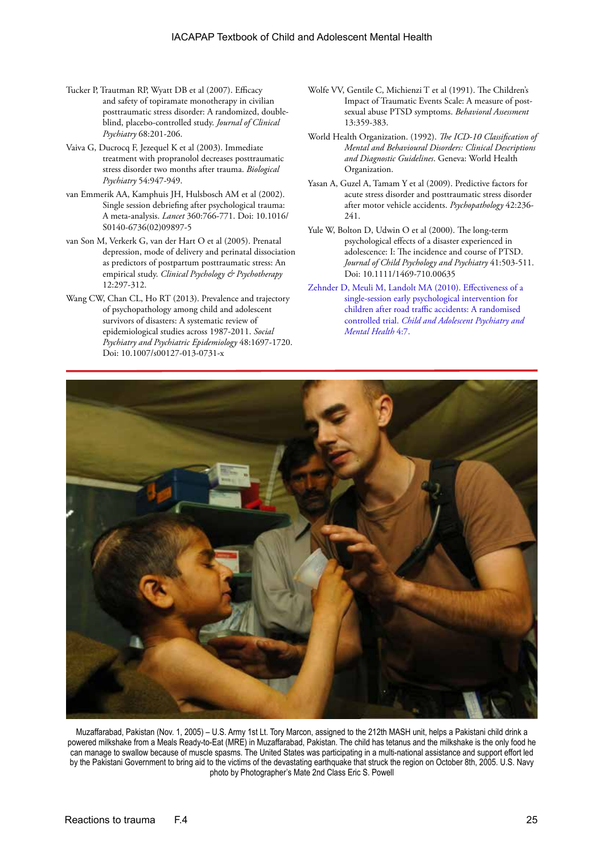- Tucker P, Trautman RP, Wyatt DB et al (2007). Efficacy and safety of topiramate monotherapy in civilian posttraumatic stress disorder: A randomized, doubleblind, placebo-controlled study. *Journal of Clinical Psychiatry* 68:201-206.
- Vaiva G, Ducrocq F, Jezequel K et al (2003). Immediate treatment with propranolol decreases posttraumatic stress disorder two months after trauma. *Biological Psychiatry* 54:947-949.
- van Emmerik AA, Kamphuis JH, Hulsbosch AM et al (2002). Single session debriefing after psychological trauma: A meta-analysis. *Lancet* 360:766-771. Doi: 10.1016/ S0140-6736(02)09897-5
- van Son M, Verkerk G, van der Hart O et al (2005). Prenatal depression, mode of delivery and perinatal dissociation as predictors of postpartum posttraumatic stress: An empirical study. *Clinical Psychology & Psychotherapy* 12:297-312.
- Wang CW, Chan CL, Ho RT (2013). Prevalence and trajectory of psychopathology among child and adolescent survivors of disasters: A systematic review of epidemiological studies across 1987-2011. *Social Psychiatry and Psychiatric Epidemiology* 48:1697-1720. Doi: 10.1007/s00127-013-0731-x
- Wolfe VV, Gentile C, Michienzi T et al (1991). The Children's Impact of Traumatic Events Scale: A measure of postsexual abuse PTSD symptoms. *Behavioral Assessment* 13:359-383.
- World Health Organization. (1992). *The ICD-10 Classification of Mental and Behavioural Disorders: Clinical Descriptions and Diagnostic Guidelines*. Geneva: World Health Organization.
- Yasan A, Guzel A, Tamam Y et al (2009). Predictive factors for acute stress disorder and posttraumatic stress disorder after motor vehicle accidents. *Psychopathology* 42:236- 241.
- Yule W, Bolton D, Udwin O et al (2000). The long-term psychological effects of a disaster experienced in adolescence: I: The incidence and course of PTSD. *Journal of Child Psychology and Psychiatry* 41:503-511. Doi: 10.1111/1469-710.00635
- [Zehnder D, Meuli M, Landolt MA \(2010\). Effectiveness of a](http://www.biomedcentral.com/content/pdf/1753-2000-4-7.pdf)  [single-session early psychological intervention for](http://www.biomedcentral.com/content/pdf/1753-2000-4-7.pdf)  [children after road traffic accidents: A randomised](http://www.biomedcentral.com/content/pdf/1753-2000-4-7.pdf)  controlled trial. *[Child and Adolescent Psychiatry and](http://www.biomedcentral.com/content/pdf/1753-2000-4-7.pdf)  [Mental Health](http://www.biomedcentral.com/content/pdf/1753-2000-4-7.pdf)* 4:7.



Muzaffarabad, Pakistan (Nov. 1, 2005) – U.S. Army 1st Lt. Tory Marcon, assigned to the 212th MASH unit, helps a Pakistani child drink a powered milkshake from a Meals Ready-to-Eat (MRE) in Muzaffarabad, Pakistan. The child has tetanus and the milkshake is the only food he can manage to swallow because of muscle spasms. The United States was participating in a multi-national assistance and support effort led by the Pakistani Government to bring aid to the victims of the devastating earthquake that struck the region on October 8th, 2005. U.S. Navy photo by Photographer's Mate 2nd Class Eric S. Powell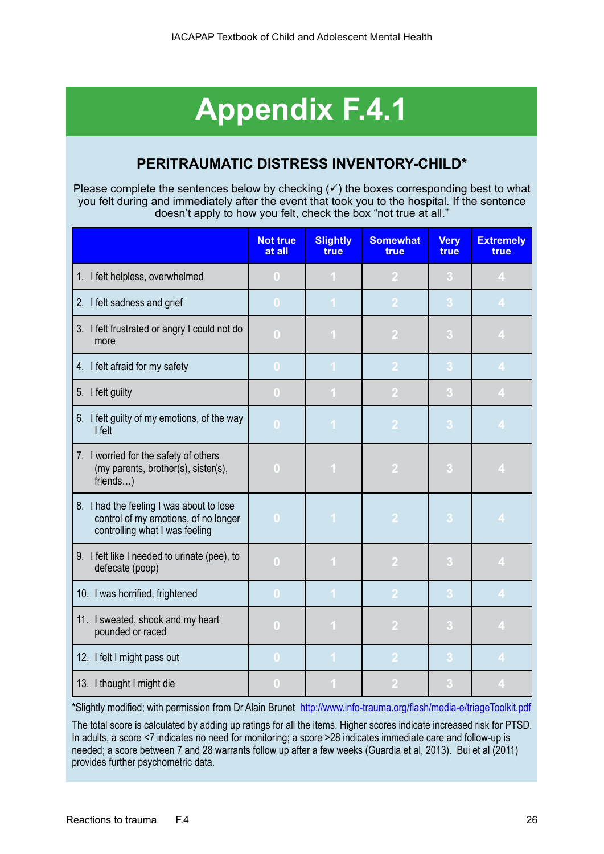# **Appendix F.4.1**

## **PERITRAUMATIC DISTRESS INVENTORY-CHILD\***

Please complete the sentences below by checking  $(\checkmark)$  the boxes corresponding best to what you felt during and immediately after the event that took you to the hospital. If the sentence doesn't apply to how you felt, check the box "not true at all."

|                                                                                                                    | <b>Not true</b><br>at all | <b>Slightly</b><br>true | <b>Somewhat</b><br>true | <b>Very</b><br>true | <b>Extremely</b><br>true |
|--------------------------------------------------------------------------------------------------------------------|---------------------------|-------------------------|-------------------------|---------------------|--------------------------|
| 1. I felt helpless, overwhelmed                                                                                    | $\mathbf{0}$              | $\mathbf{1}$            | $\overline{2}$          | 3                   | $\overline{4}$           |
| 2. I felt sadness and grief                                                                                        | $\overline{0}$            | $\overline{1}$          | $\overline{2}$          | 3                   | $\overline{4}$           |
| 3. I felt frustrated or angry I could not do<br>more                                                               | $\bf{0}$                  | 1                       | $\overline{2}$          | 3                   | $\overline{4}$           |
| 4. I felt afraid for my safety                                                                                     | $\bf{0}$                  | 1                       | $\overline{2}$          | 3                   | $\overline{4}$           |
| 5. I felt guilty                                                                                                   | $\bf{0}$                  | $\blacksquare$          | $\overline{2}$          | 3                   | $\overline{4}$           |
| 6. I felt guilty of my emotions, of the way<br>I felt                                                              | $\bf{0}$                  | $\overline{1}$          | $\overline{2}$          | 3                   | $\overline{\mathbf{4}}$  |
| 7. I worried for the safety of others<br>(my parents, brother(s), sister(s),<br>friends)                           | $\bf{0}$                  | 1                       | $\overline{2}$          | 3                   | $\overline{4}$           |
| 8. I had the feeling I was about to lose<br>control of my emotions, of no longer<br>controlling what I was feeling | $\overline{0}$            | $\overline{1}$          | $\overline{2}$          | 3                   | $\overline{\mathbf{4}}$  |
| 9. I felt like I needed to urinate (pee), to<br>defecate (poop)                                                    | $\overline{0}$            | 1                       | $\overline{2}$          | 3                   | $\overline{4}$           |
| 10. I was horrified, frightened                                                                                    | $\overline{0}$            | 1                       | $\overline{2}$          | 3                   | $\overline{4}$           |
| 11. I sweated, shook and my heart<br>pounded or raced                                                              | $\bf{0}$                  | 1                       | $\overline{2}$          | $\sqrt{3}$          | $\overline{4}$           |
| 12. I felt I might pass out                                                                                        | $\bf{0}$                  | 1                       | $\overline{2}$          | 3                   | $\overline{\mathbf{4}}$  |
| 13. I thought I might die                                                                                          | $\bf{0}$                  | ш                       | $\overline{2}$          | 3                   | $\overline{4}$           |

\*Slightly modified; with permission from Dr Alain Brunet <http://www.info-trauma.org/flash/media-e/triageToolkit.pdf>

The total score is calculated by adding up ratings for all the items. Higher scores indicate increased risk for PTSD. In adults, a score <7 indicates no need for monitoring; a score >28 indicates immediate care and follow-up is needed; a score between 7 and 28 warrants follow up after a few weeks (Guardia et al, 2013). Bui et al (2011) provides further psychometric data.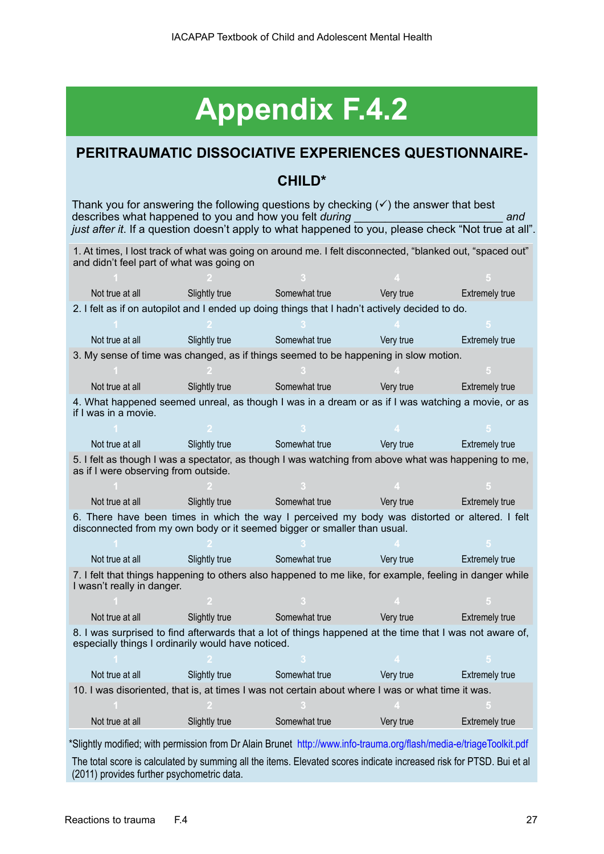# **Appendix F.4.2**

## **PERITRAUMATIC DISSOCIATIVE EXPERIENCES QUESTIONNAIRE-**

## **CHILD\***

Thank you for answering the following questions by checking  $(\checkmark)$  the answer that best describes what happened to you and how you felt *during* \_\_\_\_\_\_\_\_\_\_\_\_\_\_\_\_\_\_\_\_\_\_\_\_ *and*  just after it. If a question doesn't apply to what happened to you, please check "Not true at all".

1. At times, I lost track of what was going on around me. I felt disconnected, "blanked out, "spaced out" and didn't feel part of what was going on

| Not true at all                                    | Slightly true | Somewhat true                                                                                                                                                              | Very true | <b>Extremely true</b> |
|----------------------------------------------------|---------------|----------------------------------------------------------------------------------------------------------------------------------------------------------------------------|-----------|-----------------------|
|                                                    |               | 2. I felt as if on autopilot and I ended up doing things that I hadn't actively decided to do.                                                                             |           |                       |
|                                                    |               |                                                                                                                                                                            |           |                       |
| Not true at all                                    | Slightly true | Somewhat true                                                                                                                                                              | Very true | <b>Extremely true</b> |
|                                                    |               | 3. My sense of time was changed, as if things seemed to be happening in slow motion.                                                                                       |           |                       |
|                                                    |               |                                                                                                                                                                            |           |                       |
| Not true at all                                    | Slightly true | Somewhat true                                                                                                                                                              | Very true | <b>Extremely true</b> |
| if I was in a movie.                               |               | 4. What happened seemed unreal, as though I was in a dream or as if I was watching a movie, or as                                                                          |           |                       |
|                                                    |               |                                                                                                                                                                            |           |                       |
| Not true at all                                    | Slightly true | Somewhat true                                                                                                                                                              | Very true | <b>Extremely true</b> |
| as if I were observing from outside.               |               | 5. I felt as though I was a spectator, as though I was watching from above what was happening to me,                                                                       |           |                       |
|                                                    |               |                                                                                                                                                                            |           |                       |
| Not true at all                                    | Slightly true | Somewhat true                                                                                                                                                              | Very true | <b>Extremely true</b> |
|                                                    |               | 6. There have been times in which the way I perceived my body was distorted or altered. I felt<br>disconnected from my own body or it seemed bigger or smaller than usual. |           |                       |
|                                                    |               |                                                                                                                                                                            |           |                       |
| Not true at all                                    | Slightly true | Somewhat true                                                                                                                                                              | Very true | <b>Extremely true</b> |
| I wasn't really in danger.                         |               | 7. I felt that things happening to others also happened to me like, for example, feeling in danger while                                                                   |           |                       |
|                                                    |               |                                                                                                                                                                            |           |                       |
| Not true at all                                    | Slightly true | Somewhat true                                                                                                                                                              | Very true | <b>Extremely true</b> |
| especially things I ordinarily would have noticed. |               | 8. I was surprised to find afterwards that a lot of things happened at the time that I was not aware of,                                                                   |           |                       |
|                                                    |               |                                                                                                                                                                            |           |                       |
| Not true at all                                    | Slightly true | Somewhat true                                                                                                                                                              | Very true | <b>Extremely true</b> |
|                                                    |               | 10. I was disoriented, that is, at times I was not certain about where I was or what time it was.                                                                          |           |                       |
|                                                    |               |                                                                                                                                                                            |           |                       |
| Not true at all                                    | Slightly true | Somewhat true                                                                                                                                                              | Very true | <b>Extremely true</b> |
|                                                    |               | *Slightly modified; with permission from Dr Alain Brunet http://www.info-trauma.org/flash/media-e/triageToolkit.pdf                                                        |           |                       |

The total score is calculated by summing all the items. Elevated scores indicate increased risk for PTSD. Bui et al (2011) provides further psychometric data.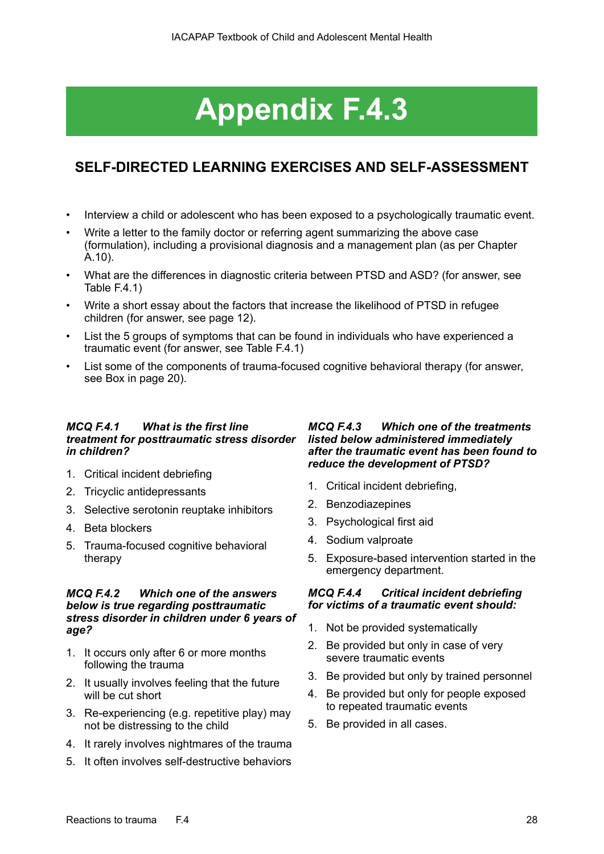# **Appendix F.4.3**

## **SELF-DIRECTED LEARNING EXERCISES AND SELF-ASSESSMENT**

- Interview a child or adolescent who has been exposed to a psychologically traumatic event.
- Write a letter to the family doctor or referring agent summarizing the above case (formulation), including a provisional diagnosis and a management plan (as per Chapter A.10).
- What are the differences in diagnostic criteria between PTSD and ASD? (for answer, see Table F.4.1)
- Write a short essay about the factors that increase the likelihood of PTSD in refugee children (for answer, see page 12).
- List the 5 groups of symptoms that can be found in individuals who have experienced a traumatic event (for answer, see Table F.4.1)
- List some of the components of trauma-focused cognitive behavioral therapy (for answer, see Box in page 20).

### *MCQ F.4.1 What is the first line treatment for posttraumatic stress disorder listed below administered immediately in children?*

- 1. Critical incident debriefing
- 2. Tricyclic antidepressants
- 3. Selective serotonin reuptake inhibitors
- 4. Beta blockers
- 5. Trauma-focused cognitive behavioral therapy

## *MCQ F.4.2 Which one of the answers below is true regarding posttraumatic stress disorder in children under 6 years of age?*

- 1. It occurs only after 6 or more months following the trauma
- 2. It usually involves feeling that the future will be cut short
- 3. Re-experiencing (e.g. repetitive play) may not be distressing to the child
- 4. It rarely involves nightmares of the trauma
- 5. It often involves self-destructive behaviors

## *MCQ F.4.3 Which one of the treatments after the traumatic event has been found to reduce the development of PTSD?*

- 1. Critical incident debriefing,
- 2. Benzodiazepines
- 3. Psychological first aid
- 4. Sodium valproate
- 5. Exposure-based intervention started in the emergency department.

### *MCQ F.4.4 Critical incident debriefing for victims of a traumatic event should:*

- 1. Not be provided systematically
- 2. Be provided but only in case of very severe traumatic events
- 3. Be provided but only by trained personnel
- 4. Be provided but only for people exposed to repeated traumatic events
- 5. Be provided in all cases.